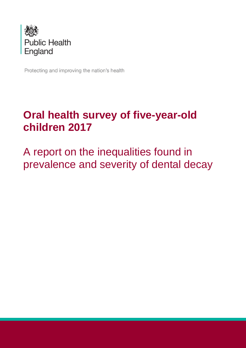

Protecting and improving the nation's health

# **Oral health survey of five-year-old children 2017**

A report on the inequalities found in prevalence and severity of dental decay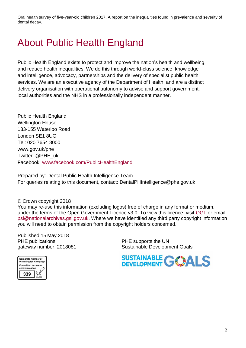# <span id="page-1-0"></span>About Public Health England

Public Health England exists to protect and improve the nation's health and wellbeing, and reduce health inequalities. We do this through world-class science, knowledge and intelligence, advocacy, partnerships and the delivery of specialist public health services. We are an executive agency of the Department of Health, and are a distinct delivery organisation with operational autonomy to advise and support government, local authorities and the NHS in a professionally independent manner.

Public Health England Wellington House 133-155 Waterloo Road London SE1 8UG Tel: 020 7654 8000 [www.gov.uk/phe](http://www.gov.uk/phe) Twitter: [@PHE\\_uk](https://twitter.com/PHE_uk) Facebook: [www.facebook.com/PublicHealthEngland](http://www.facebook.com/PublicHealthEngland)

Prepared by: Dental Public Health Intelligence Team For queries relating to this document, contact: DentalPHIntelligence@phe.gov.uk

© Crown copyright 2018

You may re-use this information (excluding logos) free of charge in any format or medium, under the terms of the Open Government Licence v3.0. To view this licence, visit [OGL](https://www.nationalarchives.gov.uk/doc/open-government-licence/version/3/) or email [psi@nationalarchives.gsi.gov.uk.](mailto:psi@nationalarchives.gsi.gov.uk) Where we have identified any third party copyright information you will need to obtain permission from the copyright holders concerned.

Published 15 May 2018 PHE publications **PHE** supports the UN

gateway number: 2018081 Sustainable Development Goals



SUSTAINABLE GWALS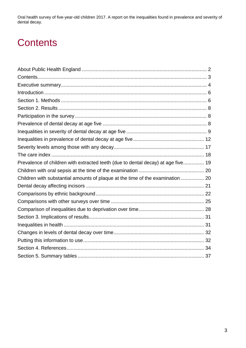# <span id="page-2-0"></span>**Contents**

| Prevalence of children with extracted teeth (due to dental decay) at age five 19 |  |
|----------------------------------------------------------------------------------|--|
|                                                                                  |  |
| Children with substantial amounts of plaque at the time of the examination 20    |  |
|                                                                                  |  |
|                                                                                  |  |
|                                                                                  |  |
|                                                                                  |  |
|                                                                                  |  |
|                                                                                  |  |
|                                                                                  |  |
|                                                                                  |  |
|                                                                                  |  |
|                                                                                  |  |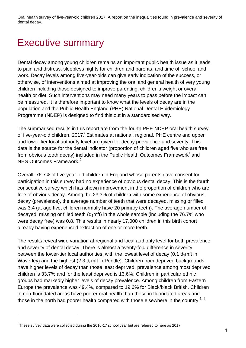## <span id="page-3-0"></span>Executive summary

Dental decay among young children remains an important public health issue as it leads to pain and distress, sleepless nights for children and parents, and time off school and work. Decay levels among five-year-olds can give early indication of the success, or otherwise, of interventions aimed at improving the oral and general health of very young children including those designed to improve parenting, children's weight or overall health or diet. Such interventions may need many years to pass before the impact can be measured. It is therefore important to know what the levels of decay are in the population and the Public Health England (PHE) National Dental Epidemiology Programme (NDEP) is designed to find this out in a standardised way.

The summarised results in this report are from the fourth PHE NDEP oral health survey of five-year-old children, 2017. Estimates at national, regional, PHE centre and upper and lower-tier local authority level are given for decay prevalence and severity. This data is the source for the dental indicator (proportion of children aged five who are free from obvious tooth decay) included in the Public Health Outcomes Framework<sup>1</sup> and NHS Outcomes Framework.<sup>2</sup>

Overall, 76.7% of five-year-old children in England whose parents gave consent for participation in this survey had no experience of obvious dental decay. This is the fourth consecutive survey which has shown improvement in the proportion of children who are free of obvious decay. Among the 23.3% of children with some experience of obvious decay (prevalence), the average number of teeth that were decayed, missing or filled was 3.4 (at age five, children normally have 20 primary teeth). The average number of decayed, missing or filled teeth  $(d<sub>3</sub>mft)$  in the whole sample (including the 76.7% who were decay free) was 0.8. This results in nearly 17,000 children in this birth cohort already having experienced extraction of one or more teeth.

The results reveal wide variation at regional and local authority level for both prevalence and severity of dental decay. There is almost a twenty-fold difference in severity between the lower-tier local authorities, with the lowest level of decay (0.1  $d_3$ mft in Waverley) and the highest  $(2.3 \text{ d}_3$ mft in Pendle). Children from deprived backgrounds have higher levels of decay than those least deprived, prevalence among most deprived children is 33.7% and for the least deprived is 13.6%. Children in particular ethnic groups had markedly higher levels of decay prevalence. Among children from Eastern Europe the prevalence was 49.4%, compared to 19.6% for Black/black British. Children in non-fluoridated areas have poorer oral health than those in fluoridated areas and those in the north had poorer health compared with those elsewhere in the country.<sup>3, 4</sup>

l

<sup>&</sup>lt;sup>i</sup> These survey data were collected during the 2016-17 school year but are referred to here as 2017.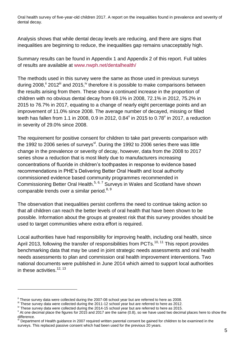Analysis shows that while dental decay levels are reducing, and there are signs that inequalities are beginning to reduce, the inequalities gap remains unacceptably high.

Summary results can be found in Appendix 1 and Appendix 2 of this report. Full tables of results are available at [www.nwph.net/dentalhealth/](http://www.nwph.net/dentalhealth/)

The methods used in this survey were the same as those used in previous surveys during 2008,  $\degree$  2012 $\degree$  and 2015, $\degree$  therefore it is possible to make comparisons between the results arising from them. These show a continued increase in the proportion of children with no obvious dental decay from 69.1% in 2008, 72.1% in 2012, 75.2% in 2015 to 76.7% in 2017, equating to a change of nearly eight percentage points and an improvement of 11.0% since 2008. The average number of decayed, missing or filled teeth has fallen from 1.1 in 2008, 0.9 in 2012, 0.84 $^{\vee}$  in 2015 to 0.78 $^{\vee}$  in 2017, a reduction in severity of 29.0% since 2008.

The requirement for positive consent for children to take part prevents comparison with the 1992 to 2006 series of surveys<sup>vi</sup>. During the 1992 to 2006 series there was little change in the prevalence or severity of decay, however, data from the 2008 to 2017 series show a reduction that is most likely due to manufacturers increasing concentrations of fluoride in children's toothpastes in response to evidence based recommendations in PHE's Delivering Better Oral Health and local authority commissioned evidence based community programmes recommended in Commissioning Better Oral Health.<sup>5, 6, 7</sup> Surveys in Wales and Scotland have shown comparable trends over a similar period.<sup>8, 9</sup>

The observation that inequalities persist confirms the need to continue taking action so that all children can reach the better levels of oral health that have been shown to be possible. Information about the groups at greatest risk that this survey provides should be used to target communities where extra effort is required.

Local authorities have had responsibility for improving health, including oral health, since April 2013, following the transfer of responsibilities from PCTs.<sup>10, 11</sup> This report provides benchmarking data that may be used in joint strategic needs assessments and oral health needs assessments to plan and commission oral health improvement interventions. Two national documents were published in June 2014 which aimed to support local authorities in these activities.<sup>12, 13</sup>

l

<sup>&</sup>lt;sup>ii</sup> These survev data were collected during the 2007-08 school year but are referred to here as 2008.

iii These survey data were collected during the 2011-12 school year but are referred to here as 2012.

<sup>&</sup>lt;sup>iv</sup> These survey data were collected during the 2014-15 school year but are referred to here as 2015.

 $\rm{v}$  At one decimal place the figures for 2015 and 2017 are the same (0.8), so we have used two decimal places here to show the difference.

vi Department of Health guidance in 2007 required written parental consent be gained for children to be examined in the surveys. This replaced passive consent which had been used for the previous 20 years.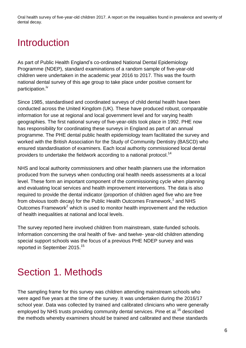## <span id="page-5-0"></span>Introduction

As part of Public Health England's co-ordinated National Dental Epidemiology Programme (NDEP), standard examinations of a random sample of five-year-old children were undertaken in the academic year 2016 to 2017. This was the fourth national dental survey of this age group to take place under positive consent for participation.<sup>iv</sup>

Since 1985, standardised and coordinated surveys of child dental health have been conducted across the United Kingdom (UK). These have produced robust, comparable information for use at regional and local government level and for varying health geographies. The first national survey of five-year-olds took place in 1992. PHE now has responsibility for coordinating these surveys in England as part of an annual programme. The PHE dental public health epidemiology team facilitated the survey and worked with the British Association for the Study of Community Dentistry (BASCD) who ensured standardisation of examiners. Each local authority commissioned local dental providers to undertake the fieldwork according to a national protocol.<sup>14</sup>

NHS and local authority commissioners and other health planners use the information produced from the surveys when conducting oral health needs assessments at a local level. These form an important component of the commissioning cycle when planning and evaluating local services and health improvement interventions. The data is also required to provide the dental indicator (proportion of children aged five who are free from obvious tooth decay) for the Public Health Outcomes Framework,<sup>1</sup> and NHS Outcomes Framework<sup>2</sup> which is used to monitor health improvement and the reduction of health inequalities at national and local levels.

The survey reported here involved children from mainstream, state-funded schools. Information concerning the oral health of five- and twelve- year-old children attending special support schools was the focus of a previous PHE NDEP survey and was reported in September 2015.<sup>15</sup>

## <span id="page-5-1"></span>Section 1. Methods

The sampling frame for this survey was children attending mainstream schools who were aged five years at the time of the survey. It was undertaken during the 2016/17 school year. Data was collected by trained and calibrated clinicians who were generally employed by NHS trusts providing community dental services. Pine et al.<sup>16</sup> described the methods whereby examiners should be trained and calibrated and these standards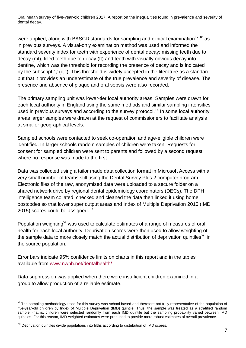were applied, along with BASCD standards for sampling and clinical examination $17,18$  as in previous surveys. A visual-only examination method was used and informed the standard severity index for teeth with experience of dental decay; missing teeth due to decay (mt), filled teeth due to decay (ft) and teeth with visually obvious decay into dentine, which was the threshold for recording the presence of decay and is indicated by the subscript  $\frac{1}{3}$  (d<sub>3</sub>t). This threshold is widely accepted in the literature as a standard but that it provides an underestimate of the true prevalence and severity of disease. The presence and absence of plaque and oral sepsis were also recorded.

The primary sampling unit was lower-tier local authority areas. Samples were drawn for each local authority in England using the same methods and similar sampling intensities used in previous surveys and according to the survey protocol.<sup>14</sup> In some local authority areas larger samples were drawn at the request of commissioners to facilitate analysis at smaller geographical levels.

Sampled schools were contacted to seek co-operation and age-eligible children were identified. In larger schools random samples of children were taken. Requests for consent for sampled children were sent to parents and followed by a second request where no response was made to the first.

Data was collected using a tailor made data collection format in Microsoft Access with a very small number of teams still using the Dental Survey Plus 2 computer program. Electronic files of the raw, anonymised data were uploaded to a secure folder on a shared network drive by regional dental epidemiology coordinators (DECs). The DPH intelligence team collated, checked and cleaned the data then linked it using home postcodes so that lower super output areas and Index of Multiple Deprivation 2015 (IMD 2015) scores could be assigned. $^{19}$ 

Population weighting<sup>vii</sup> was used to calculate estimates of a range of measures of oral health for each local authority. Deprivation scores were then used to allow weighting of the sample data to more closely match the actual distribution of deprivation quintiles<sup>VIII</sup> in the source population.

Error bars indicate 95% confidence limits on charts in this report and in the tables available from [www.nwph.net/dentalhealth/](http://www.nwph.net/dentalhealth)

Data suppression was applied when there were insufficient children examined in a group to allow production of a reliable estimate.

l

vii The sampling methodology used for this survey was school based and therefore not truly representative of the population of five-year-old children by Index of Multiple Deprivation (IMD) quintile. Thus, the sample was treated as a stratified random sample, that is, children were selected randomly from each IMD quintile but the sampling probability varied between IMD quintiles. For this reason, IMD-weighted estimates were produced to provide more robust estimates of overall prevalence.

viii Deprivation quintiles divide populations into fifths according to distribution of IMD scores.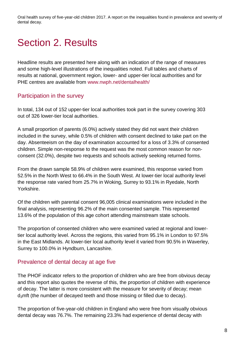# <span id="page-7-0"></span>Section 2. Results

Headline results are presented here along with an indication of the range of measures and some high-level illustrations of the inequalities noted. Full tables and charts of results at national, government region, lower- and upper-tier local authorities and for PHE centres are available from [www.nwph.net/dentalhealth/](http://www.nwph.net/dentalhealth)

## <span id="page-7-1"></span>Participation in the survey

In total, 134 out of 152 upper-tier local authorities took part in the survey covering 303 out of 326 lower-tier local authorities.

A small proportion of parents (6.0%) actively stated they did not want their children included in the survey, while 0.5% of children with consent declined to take part on the day. Absenteeism on the day of examination accounted for a loss of 3.3% of consented children. Simple non-response to the request was the most common reason for nonconsent (32.0%), despite two requests and schools actively seeking returned forms.

From the drawn sample 58.9% of children were examined, this response varied from 52.5% in the North West to 66.4% in the South West. At lower-tier local authority level the response rate varied from 25.7% in Woking, Surrey to 93.1% in Ryedale, North Yorkshire.

Of the children with parental consent 96,005 clinical examinations were included in the final analysis, representing 96.2% of the main consented sample. This represented 13.6% of the population of this age cohort attending mainstream state schools.

The proportion of consented children who were examined varied at regional and lowertier local authority level. Across the regions, this varied from 95.1% in London to 97.5% in the East Midlands. At lower-tier local authority level it varied from 90.5% in Waverley, Surrey to 100.0% in Hyndburn, Lancashire.

## <span id="page-7-2"></span>Prevalence of dental decay at age five

The PHOF indicator refers to the proportion of children who are free from obvious decay and this report also quotes the reverse of this, the proportion of children with experience of decay. The latter is more consistent with the measure for severity of decay; mean d3mft (the number of decayed teeth and those missing or filled due to decay).

The proportion of five-year-old children in England who were free from visually obvious dental decay was 76.7%. The remaining 23.3% had experience of dental decay with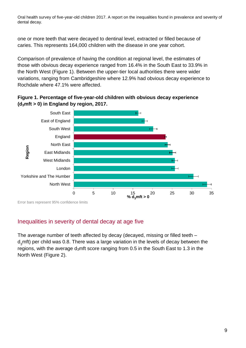one or more teeth that were decayed to dentinal level, extracted or filled because of caries. This represents 164,000 children with the disease in one year cohort.

Comparison of prevalence of having the condition at regional level, the estimates of those with obvious decay experience ranged from 16.4% in the South East to 33.9% in the North West (Figure 1). Between the upper-tier local authorities there were wider variations, ranging from Cambridgeshire where 12.9% had obvious decay experience to Rochdale where 47.1% were affected.





Error bars represent 95% confidence limits

## <span id="page-8-0"></span>Inequalities in severity of dental decay at age five

The average number of teeth affected by decay (decayed, missing or filled teeth – d<sub>2</sub>mft) per child was 0.8. There was a large variation in the levels of decay between the regions, with the average  $d_3$ mft score ranging from 0.5 in the South East to 1.3 in the North West (Figure 2).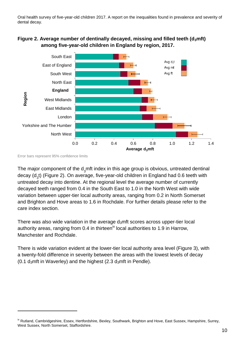



Error bars represent 95% confidence limits

l

The major component of the d<sub>2</sub>mft index in this age group is obvious, untreated dentinal decay (d<sub>3</sub>t) (Figure 2). On average, five-year-old children in England had 0.6 teeth with untreated decay into dentine. At the regional level the average number of currently decayed teeth ranged from 0.4 in the South East to 1.0 in the North West with wide variation between upper-tier local authority areas, ranging from 0.2 in North Somerset and Brighton and Hove areas to 1.6 in Rochdale. For further details please refer to the care index section.

There was also wide variation in the average  $d_3$ mft scores across upper-tier local authority areas, ranging from 0.4 in thirteen<sup>ix</sup> local authorities to 1.9 in Harrow, Manchester and Rochdale.

There is wide variation evident at the lower-tier local authority area level (Figure 3), with a twenty-fold difference in severity between the areas with the lowest levels of decay (0.1  $d_3$ mft in Waverley) and the highest (2.3  $d_3$ mft in Pendle).

<sup>&</sup>lt;sup>ix</sup> Rutland, Cambridgeshire, Essex, Hertfordshire, Bexley, Southwark, Brighton and Hove, East Sussex, Hampshire, Surrey, West Sussex, North Somerset, Staffordshire.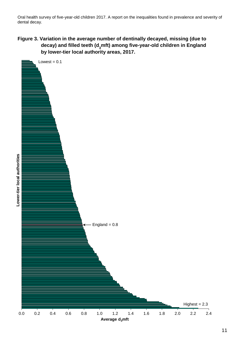**Figure 3. Variation in the average number of dentinally decayed, missing (due to decay) and filled teeth (d3mft) among five-year-old children in England by lower-tier local authority areas, 2017.**

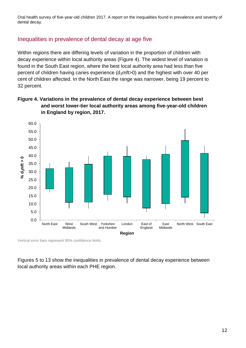## <span id="page-11-0"></span>Inequalities in prevalence of dental decay at age five

Within regions there are differing levels of variation in the proportion of children with decay experience within local authority areas (Figure 4). The widest level of variation is found in the South East region, where the best local authority area had less than five percent of children having caries experience  $(d_3mft>0)$  and the highest with over 40 per cent of children affected. In the North East the range was narrower, being 19 percent to 32 percent.





Vertical error bars represent 95% confidence limits

Figures 5 to 13 show the inequalities in prevalence of dental decay experience between local authority areas within each PHE region.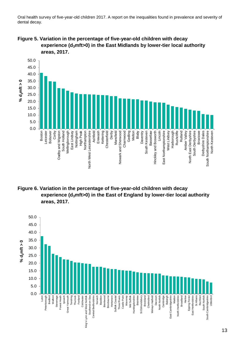**Figure 5. Variation in the percentage of five-year-old children with decay experience (d3mft>0) in the East Midlands by lower-tier local authority areas, 2017.**



**Figure 6. Variation in the percentage of five-year-old children with decay experience (d3mft>0) in the East of England by lower-tier local authority areas, 2017.**

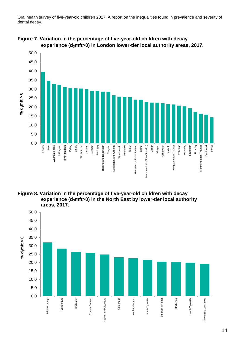

**Figure 7. Variation in the percentage of five-year-old children with decay experience (d3mft>0) in London lower-tier local authority areas, 2017.**

**Figure 8. Variation in the percentage of five-year-old children with decay experience (d3mft>0) in the North East by lower-tier local authority areas, 2017.**

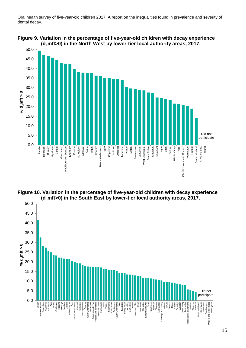

**Figure 9. Variation in the percentage of five-year-old children with decay experience (d3mft>0) in the North West by lower-tier local authority areas, 2017.**



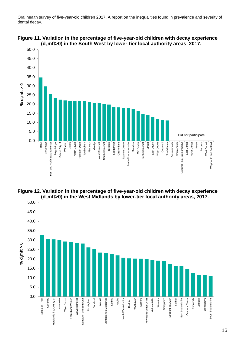





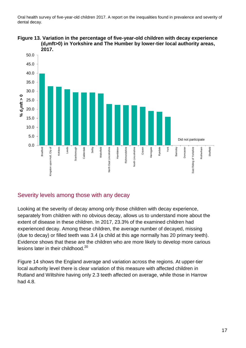



## <span id="page-16-0"></span>Severity levels among those with any decay

Looking at the severity of decay among only those children with decay experience, separately from children with no obvious decay, allows us to understand more about the extent of disease in these children. In 2017, 23.3% of the examined children had experienced decay. Among these children, the average number of decayed, missing (due to decay) or filled teeth was 3.4 (a child at this age normally has 20 primary teeth). Evidence shows that these are the children who are more likely to develop more carious lesions later in their childhood.<sup>20</sup>

Figure 14 shows the England average and variation across the regions. At upper-tier local authority level there is clear variation of this measure with affected children in Rutland and Wiltshire having only 2.3 teeth affected on average, while those in Harrow had 4.8.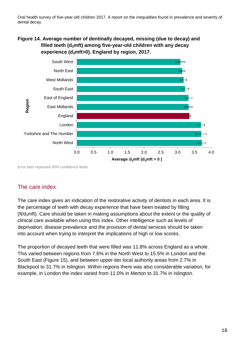### **Figure 14. Average number of dentinally decayed, missing (due to decay) and filled teeth (d3mft) among five-year-old children with any decay experience (d3mft>0). England by region, 2017.**



Error bars represent 95% confidence limits

## <span id="page-17-0"></span>The care index

The care index gives an indication of the restorative activity of dentists in each area. It is the percentage of teeth with decay experience that have been treated by filling ( $ft/d<sub>3</sub>$ mft). Care should be taken in making assumptions about the extent or the quality of clinical care available when using this index. Other intelligence such as levels of deprivation, disease prevalence and the provision of dental services should be taken into account when trying to interpret the implications of high or low scores.

The proportion of decayed teeth that were filled was 11.8% across England as a whole. This varied between regions from 7.6% in the North West to 15.5% in London and the South East (Figure 15), and between upper-tier local authority areas from 2.7% in Blackpool to 31.7% in Islington. Within regions there was also considerable variation, for example, in London the index varied from 11.0% in Merton to 31.7% in Islington.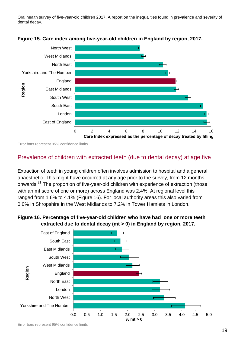



Error bars represent 95% confidence limits

### <span id="page-18-0"></span>Prevalence of children with extracted teeth (due to dental decay) at age five

Extraction of teeth in young children often involves admission to hospital and a general anaesthetic. This might have occurred at any age prior to the survey, from 12 months onwards.<sup>21</sup> The proportion of five-year-old children with experience of extraction (those with an mt score of one or more) across England was 2.4%. At regional level this ranged from 1.6% to 4.1% (Figure 16). For local authority areas this also varied from 0.0% in Shropshire in the West Midlands to 7.2% in Tower Hamlets in London.



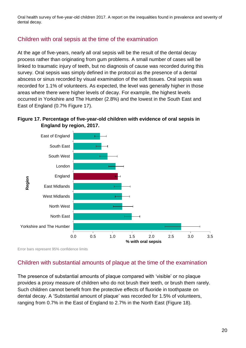## <span id="page-19-0"></span>Children with oral sepsis at the time of the examination

At the age of five-years, nearly all oral sepsis will be the result of the dental decay process rather than originating from gum problems. A small number of cases will be linked to traumatic injury of teeth, but no diagnosis of cause was recorded during this survey. Oral sepsis was simply defined in the protocol as the presence of a dental abscess or sinus recorded by visual examination of the soft tissues. Oral sepsis was recorded for 1.1% of volunteers. As expected, the level was generally higher in those areas where there were higher levels of decay. For example, the highest levels occurred in Yorkshire and The Humber (2.8%) and the lowest in the South East and East of England (0.7% Figure 17).





Error bars represent 95% confidence limits

## <span id="page-19-1"></span>Children with substantial amounts of plaque at the time of the examination

The presence of substantial amounts of plaque compared with 'visible' or no plaque provides a proxy measure of children who do not brush their teeth, or brush them rarely. Such children cannot benefit from the protective effects of fluoride in toothpaste on dental decay. A 'Substantial amount of plaque' was recorded for 1.5% of volunteers, ranging from 0.7% in the East of England to 2.7% in the North East (Figure 18).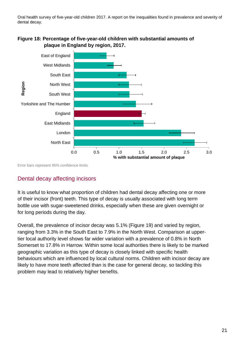



Error bars represent 95% confidence limits

## <span id="page-20-0"></span>Dental decay affecting incisors

It is useful to know what proportion of children had dental decay affecting one or more of their incisor (front) teeth. This type of decay is usually associated with long term bottle use with sugar-sweetened drinks, especially when these are given overnight or for long periods during the day.

Overall, the prevalence of incisor decay was 5.1% (Figure 19) and varied by region, ranging from 3.3% in the South East to 7.9% in the North West. Comparison at uppertier local authority level shows far wider variation with a prevalence of 0.8% in North Somerset to 17.8% in Harrow. Within some local authorities there is likely to be marked geographic variation as this type of decay is closely linked with specific health behaviours which are influenced by local cultural norms. Children with incisor decay are likely to have more teeth affected than is the case for general decay, so tackling this problem may lead to relatively higher benefits.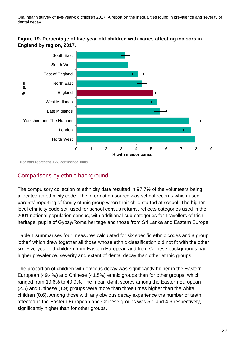

**Figure 19. Percentage of five-year-old children with caries affecting incisors in England by region, 2017.**

Error bars represent 95% confidence limits

## <span id="page-21-0"></span>Comparisons by ethnic background

The compulsory collection of ethnicity data resulted in 97.7% of the volunteers being allocated an ethnicity code. The information source was school records which used parents' reporting of family ethnic group when their child started at school. The higher level ethnicity code set, used for school census returns, reflects categories used in the 2001 national population census, with additional sub-categories for Travellers of Irish heritage, pupils of Gypsy/Roma heritage and those from Sri Lanka and Eastern Europe.

Table 1 summarises four measures calculated for six specific ethnic codes and a group 'other' which drew together all those whose ethnic classification did not fit with the other six. Five-year-old children from Eastern European and from Chinese backgrounds had higher prevalence, severity and extent of dental decay than other ethnic groups.

The proportion of children with obvious decay was significantly higher in the Eastern European (49.4%) and Chinese (41.5%) ethnic groups than for other groups, which ranged from 19.6% to 40.9%. The mean  $d_3$ mft scores among the Eastern European (2.5) and Chinese (1.9) groups were more than three times higher than the white children (0.6). Among those with any obvious decay experience the number of teeth affected in the Eastern European and Chinese groups was 5.1 and 4.6 respectively, significantly higher than for other groups.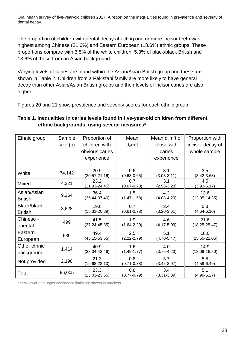The proportion of children with dental decay affecting one or more incisor teeth was highest among Chinese (21.6%) and Eastern European (18.6%) ethnic groups. These proportions compare with 3.5% of the white children, 5.3% of black/black British and 13.6% of those from an Asian background.

Varying levels of caries are found within the Asian/Asian British group and these are shown in Table 2. Children from a Pakistani family are more likely to have general decay than other Asian/Asian British groups and their levels of incisor caries are also higher.

Figures 20 and 21 show prevalence and severity scores for each ethnic group.

### **Table 1. Inequalities in caries levels found in five-year-old children from different ethnic backgrounds, using several measures\***

| Ethnic group   | Sample  | Proportion of              | Mean                   | Mean $d_3$ mft of      | Proportion with        |
|----------------|---------|----------------------------|------------------------|------------------------|------------------------|
|                | size(n) | children with<br>$d_3$ mft |                        | those with             | incisor decay of       |
|                |         | obvious caries             |                        | caries                 | whole sample           |
|                |         | experience                 |                        | experience             |                        |
|                |         |                            |                        |                        |                        |
| White          | 74,142  | 20.9<br>$(20.57 - 21.16)$  | 0.6<br>$(0.63 - 0.65)$ | 3.1<br>$(3.03 - 3.11)$ | 3.5<br>$(3.42 - 3.68)$ |
|                |         | 23.2                       | 0.7                    | 3.1                    | 4.5                    |
| Mixed          | 4,321   | $(21.93 - 24.45)$          | $(0.67 - 0.78)$        | $(2.96 - 3.28)$        | $(3.93 - 5.17)$        |
| Asian/Asian    | 9,264   | 36.4                       | 1.5                    | 4.2                    | 13.6                   |
| <b>British</b> |         | $(35.44 - 37.40)$          | $(1.47 - 1.58)$        | $(4.08 - 4.29)$        | $(12.95 - 14.35)$      |
| Black/black    |         | 19.6                       | 0.7                    | 3.4                    | 5.3                    |
| <b>British</b> | 3,628   | $(18.31 - 20.89)$          | $(0.61 - 0.73)$        | $(3.20 - 3.61)$        | $(4.64 - 6.10)$        |
| Chinese -      |         | 41.5                       | 1.9                    | 4.6                    | 21.6                   |
| oriental       | 499     | $(37.24 - 45.85)$          | $(1.64 - 2.20)$        | $(4.17 - 5.09)$        | $(18.25 - 25.47)$      |
| Eastern        |         | 49.4                       | 2.5                    | 5.1                    | 18.6                   |
| European       | 539     | $(45.15 - 53.56)$          | $(2.22 - 2.79)$        | $(4.70 - 5.47)$        | $(15.50 - 22.05)$      |
| Other ethnic   |         | 40.9                       | 1.6                    | 4.0                    | 14.9                   |
| background     | 1,414   | $(38.34 - 43.46)$          | $(1.49 - 1.77)$        | $(3.75 - 4.23)$        | $(13.09 - 16.80)$      |
| Not provided   | 2,198   | 21.3                       | 0.8                    | 3.7                    | 5.5                    |
|                |         | $(19.68 - 23.10)$          | $(0.71 - 0.88)$        | $(3.45 - 3.97)$        | $(4.59 - 6.49)$        |
| Total          | 96,005  | 23.3<br>$(23.03 - 23.56)$  | 0.8<br>$(0.77 - 0.79)$ | 3.4<br>$(3.31 - 3.39)$ | 5.1<br>$(4.99 - 5.27)$ |
|                |         |                            |                        |                        |                        |

\* 95% lower and upper confidence limits are shown in brackets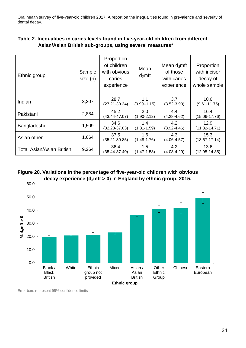| Ethnic group                     | Sample<br>size(n) | Proportion<br>of children<br>with obvious<br>caries<br>experience | Mean<br>$d_3$ mft      | Mean $d_3$ mft<br>of those<br>with caries<br>experience | Proportion<br>with incisor<br>decay of<br>whole sample |
|----------------------------------|-------------------|-------------------------------------------------------------------|------------------------|---------------------------------------------------------|--------------------------------------------------------|
| Indian                           | 3,207             | 28.7<br>$(27.21 - 30.34)$                                         | 1.1<br>$(0.99 - 1.15)$ | 3.7<br>$(3.52 - 3.90)$                                  | 10.6<br>$(9.61 - 11.75)$                               |
| Pakistani                        | 2,884             | 45.2<br>$(43.44 - 47.07)$                                         | 2.0<br>$(1.90 - 2.12)$ | 4.4<br>$(4.28 - 4.62)$                                  | 16.4<br>$(15.06 - 17.76)$                              |
| Bangladeshi                      | 1,509             | 34.6<br>$(32.23 - 37.03)$                                         | 1.4<br>$(1.31 - 1.59)$ | 4.2<br>$(3.92 - 4.46)$                                  | 12.9<br>$(11.32 - 14.71)$                              |
| Asian other                      | 1,664             | 37.5<br>$(35.21 - 39.85)$                                         | 1.6<br>$(1.48 - 1.76)$ | 4.3<br>$(4.06 - 4.57)$                                  | 15.3<br>$(13.67 - 17.14)$                              |
| <b>Total Asian/Asian British</b> | 9,264             | 36.4<br>$(35.44 - 37.40)$                                         | 1.5<br>$(1.47 - 1.58)$ | 4.2<br>$(4.08 - 4.29)$                                  | 13.6<br>$(12.95 - 14.35)$                              |

### **Table 2. Inequalities in caries levels found in five-year-old children from different Asian/Asian British sub-groups, using several measures\***

### **Figure 20. Variations in the percentage of five-year-old children with obvious decay experience (d3mft > 0) in England by ethnic group, 2015.**



Error bars represent 95% confidence limits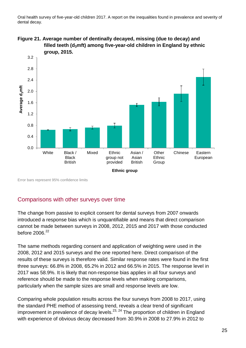



Error bars represent 95% confidence limits

## <span id="page-24-0"></span>Comparisons with other surveys over time

The change from passive to explicit consent for dental surveys from 2007 onwards introduced a response bias which is unquantifiable and means that direct comparison cannot be made between surveys in 2008, 2012, 2015 and 2017 with those conducted before 2006. 22

The same methods regarding consent and application of weighting were used in the 2008, 2012 and 2015 surveys and the one reported here. Direct comparison of the results of these surveys is therefore valid. Similar response rates were found in the first three surveys: 66.8% in 2008, 65.2% in 2012 and 66.5% in 2015. The response level in 2017 was 58.9%. It is likely that non-response bias applies in all four surveys and reference should be made to the response levels when making comparisons, particularly when the sample sizes are small and response levels are low.

Comparing whole population results across the four surveys from 2008 to 2017, using the standard PHE method of assessing trend, reveals a clear trend of significant improvement in prevalence of decay levels.<sup>23, 24</sup> The proportion of children in England with experience of obvious decay decreased from 30.9% in 2008 to 27.9% in 2012 to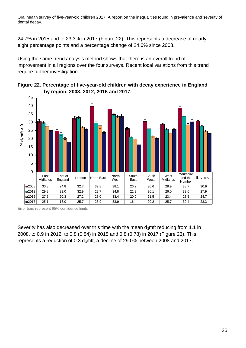24.7% in 2015 and to 23.3% in 2017 (Figure 22). This represents a decrease of nearly eight percentage points and a percentage change of 24.6% since 2008.

Using the same trend analysis method shows that there is an overall trend of improvement in all regions over the four surveys. Recent local variations from this trend require further investigation.





Severity has also decreased over this time with the mean  $d_3$ mft reducing from 1.1 in 2008, to 0.9 in 2012, to 0.8 (0.84) in 2015 and 0.8 (0.78) in 2017 (Figure 23). This represents a reduction of 0.3 d<sub>3</sub>mft, a decline of 29.0% between 2008 and 2017.

Error bars represent 95% confidence limits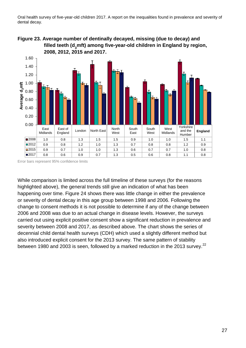



Error bars represent 95% confidence limits

While comparison is limited across the full timeline of these surveys (for the reasons highlighted above), the general trends still give an indication of what has been happening over time. Figure 24 shows there was little change in either the prevalence or severity of dental decay in this age group between 1998 and 2006. Following the change to consent methods it is not possible to determine if any of the change between 2006 and 2008 was due to an actual change in disease levels. However, the surveys carried out using explicit positive consent show a significant reduction in prevalence and severity between 2008 and 2017, as described above. The chart shows the series of decennial child dental health surveys (CDH) which used a slightly different method but also introduced explicit consent for the 2013 survey. The same pattern of stability between 1980 and 2003 is seen, followed by a marked reduction in the 2013 survey.<sup>22</sup>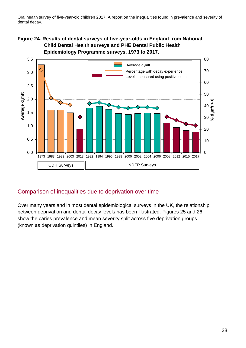### **Figure 24. Results of dental surveys of five-year-olds in England from National Child Dental Health surveys and PHE Dental Public Health Epidemiology Programme surveys, 1973 to 2017.**



## <span id="page-27-0"></span>Comparison of inequalities due to deprivation over time

Over many years and in most dental epidemiological surveys in the UK, the relationship between deprivation and dental decay levels has been illustrated. Figures 25 and 26 show the caries prevalence and mean severity split across five deprivation groups (known as deprivation quintiles) in England.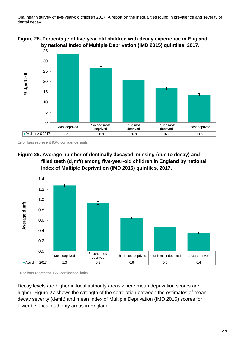

**Figure 25. Percentage of five-year-old children with decay experience in England by national Index of Multiple Deprivation (IMD 2015) quintiles, 2017.**

Error bars represent 95% confidence limits





Error bars represent 95% confidence limits

Decay levels are higher in local authority areas where mean deprivation scores are higher. Figure 27 shows the strength of the correlation between the estimates of mean decay severity (d<sub>3</sub>mft) and mean Index of Multiple Deprivation (IMD 2015) scores for lower-tier local authority areas in England.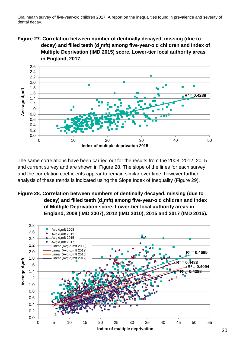**Figure 27. Correlation between number of dentinally decayed, missing (due to decay) and filled teeth (d3mft) among five-year-old children and Index of Multiple Deprivation (IMD 2015) score. Lower-tier local authority areas in England, 2017.**



The same correlations have been carried out for the results from the 2008, 2012, 2015 and current survey and are shown in Figure 28. The slope of the lines for each survey and the correlation coefficients appear to remain similar over time, however further analysis of these trends is indicated using the Slope Index of Inequality (Figure 29).

**Figure 28. Correlation between numbers of dentinally decayed, missing (due to decay) and filled teeth (d3mft) among five-year-old children and Index of Multiple Deprivation score. Lower-tier local authority areas in England, 2008 (IMD 2007), 2012 (IMD 2010), 2015 and 2017 (IMD 2015).**

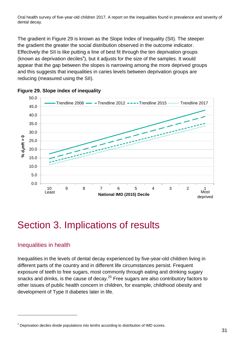The gradient in Figure 29 is known as the Slope Index of Inequality (SII). The steeper the gradient the greater the social distribution observed in the outcome indicator. Effectively the SII is like putting a line of best fit through the ten deprivation groups (known as deprivation deciles<sup>x</sup>), but it adjusts for the size of the samples. It would appear that the gap between the slopes is narrowing among the more deprived groups and this suggests that inequalities in caries levels between deprivation groups are reducing (measured using the SII).





## <span id="page-30-0"></span>Section 3. Implications of results

## <span id="page-30-1"></span>Inequalities in health

l

Inequalities in the levels of dental decay experienced by five-year-old children living in different parts of the country and in different life circumstances persist. Frequent exposure of teeth to free sugars, most commonly through eating and drinking sugary snacks and drinks, is the cause of decay.<sup>25</sup> Free sugars are also contributory factors to other issues of public health concern in children, for example, childhood obesity and development of Type II diabetes later in life.

<sup>x</sup> Deprivation deciles divide populations into tenths according to distribution of IMD scores.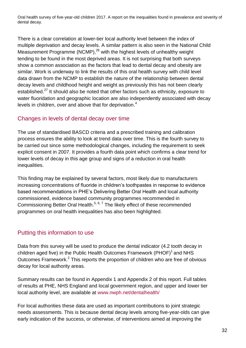There is a clear correlation at lower-tier local authority level between the index of multiple deprivation and decay levels. A similar pattern is also seen in the National Child Measurement Programme (NCMP), $^{26}$  with the highest levels of unhealthy weight tending to be found in the most deprived areas. It is not surprising that both surveys show a common association as the factors that lead to dental decay and obesity are similar. Work is underway to link the results of this oral health survey with child level data drawn from the NCMP to establish the nature of the relationship between dental decay levels and childhood height and weight as previously this has not been clearly established.<sup>27</sup> It should also be noted that other factors such as ethnicity, exposure to water fluoridation and geographic location are also independently associated with decay levels in children, over and above that for deprivation.<sup>4</sup>

## <span id="page-31-0"></span>Changes in levels of dental decay over time

The use of standardised BASCD criteria and a prescribed training and calibration process ensures the ability to look at trend data over time. This is the fourth survey to be carried out since some methodological changes, including the requirement to seek explicit consent in 2007. It provides a fourth data point which confirms a clear trend for lower levels of decay in this age group and signs of a reduction in oral health inequalities.

This finding may be explained by several factors, most likely due to manufacturers increasing concentrations of fluoride in children's toothpastes in response to evidence based recommendations in PHE's Delivering Better Oral Health and local authority commissioned, evidence based community programmes recommended in Commissioning Better Oral Health.<sup>5, 6, 7</sup> The likely effect of these recommended programmes on oral health inequalities has also been highlighted.

## <span id="page-31-1"></span>Putting this information to use

Data from this survey will be used to produce the dental indicator (4.2 tooth decay in children aged five) in the Public Health Outcomes Framework (PHOF)<sup>1</sup> and NHS Outcomes Framework.<sup>2</sup> This reports the proportion of children who are free of obvious decay for local authority areas.

Summary results can be found in Appendix 1 and Appendix 2 of this report. Full tables of results at PHE, NHS England and local government region, and upper and lower tier local authority level, are available at [www.nwph.net/dentalhealth/](http://www.nwph.net/dentalhealth/)

For local authorities these data are used as important contributions to joint strategic needs assessments. This is because dental decay levels among five-year-olds can give early indication of the success, or otherwise, of interventions aimed at improving the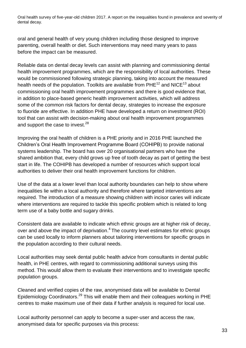oral and general health of very young children including those designed to improve parenting, overall health or diet. Such interventions may need many years to pass before the impact can be measured.

Reliable data on dental decay levels can assist with planning and commissioning dental health improvement programmes, which are the responsibility of local authorities. These would be commissioned following strategic planning, taking into account the measured health needs of the population. Toolkits are available from PHE<sup>12</sup> and NICE<sup>13</sup> about commissioning oral health improvement programmes and there is good evidence that, in addition to place-based generic health improvement activities, which will address some of the common risk factors for dental decay, strategies to increase the exposure to fluoride are effective. In addition PHE have developed a return on investment (ROI) tool that can assist with decision-making about oral health improvement programmes and support the case to invest.<sup>28</sup>

Improving the oral health of children is a PHE priority and in 2016 PHE launched the Children's Oral Health Improvement Programme Board (COHIPB) to provide national systems leadership. The board has over 20 organisational partners who have the shared ambition that, every child grows up free of tooth decay as part of getting the best start in life. The COHIPB has developed a number of resources which support local authorities to deliver their oral health improvement functions for children.

Use of the data at a lower level than local authority boundaries can help to show where inequalities lie within a local authority and therefore where targeted interventions are required. The introduction of a measure showing children with incisor caries will indicate where interventions are required to tackle this specific problem which is related to long term use of a baby bottle and sugary drinks.

Consistent data are available to indicate which ethnic groups are at higher risk of decay, over and above the impact of deprivation.<sup>4</sup> The country level estimates for ethnic groups can be used locally to inform planners about tailoring interventions for specific groups in the population according to their cultural needs.

Local authorities may seek dental public health advice from consultants in dental public health, in PHE centres, with regard to commissioning additional surveys using this method. This would allow them to evaluate their interventions and to investigate specific population groups.

Cleaned and verified copies of the raw, anonymised data will be available to Dental Epidemiology Coordinators.<sup>29</sup> This will enable them and their colleagues working in PHE centres to make maximum use of their data if further analysis is required for local use.

Local authority personnel can apply to become a super-user and access the raw, anonymised data for specific purposes via this process: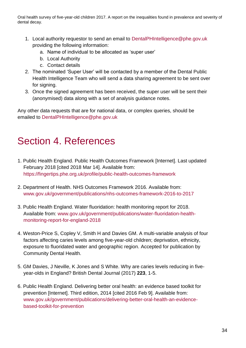- 1. Local authority requestor to send an email to [DentalPHIntelligence@phe.gov.uk](mailto:DentalPHIntelligence@phe.gov.uk) providing the following information:
	- a. Name of individual to be allocated as 'super user'
	- b. Local Authority
	- c. Contact details
- 2. The nominated 'Super User' will be contacted by a member of the Dental Public Health Intelligence Team who will send a data sharing agreement to be sent over for signing.
- 3. Once the signed agreement has been received, the super user will be sent their (anonymised) data along with a set of analysis guidance notes.

Any other data requests that are for national data, or complex queries, should be emailed to [DentalPHIntelligence@phe.gov.uk](mailto:DentalPHIntelligence@phe.gov.uk)

## <span id="page-33-0"></span>Section 4. References

- 1. Public Health England. Public Health Outcomes Framework [Internet]. Last updated February 2018 [cited 2018 Mar 14]. Available from: https://fingertips.phe.org.uk/profile/public-health-outcomes-framework
- 2. Department of Health. NHS Outcomes Framework 2016. Available from: [www.gov.uk/government/publications/nhs-outcomes-framework-2016-to-2017](http://www.gov.uk/government/publications/nhs-outcomes-framework-2016-to-2017)
- 3. Public Health England. Water fluoridation: health monitoring report for 2018. Available from: [www.gov.uk/government/publications/water-fluoridation-health](http://www.gov.uk/government/publications/water-fluoridation-health-monitoring-report-for-england-2018)[monitoring-report-for-england-2018](http://www.gov.uk/government/publications/water-fluoridation-health-monitoring-report-for-england-2018)
- 4. Weston-Price S, Copley V, Smith H and Davies GM. A multi-variable analysis of four factors affecting caries levels among five-year-old children; deprivation, ethnicity, exposure to fluoridated water and geographic region. Accepted for publication by Community Dental Health.
- 5. GM Davies, J Neville, K Jones and S White. Why are caries levels reducing in fiveyear-olds in England? British Dental Journal (2017) **223**, 1-5.
- 6. Public Health England. Delivering better oral health: an evidence based toolkit for prevention [Internet]. Third edition, 2014 [cited 2016 Feb 9]. Available from: [www.gov.uk/government/publications/delivering-better-oral-health-an-evidence](http://www.gov.uk/government/publications/delivering-better-oral-health-an-evidence-based-toolkit-for-prevention)[based-toolkit-for-prevention](http://www.gov.uk/government/publications/delivering-better-oral-health-an-evidence-based-toolkit-for-prevention)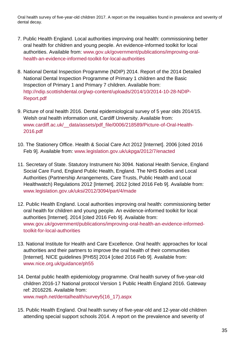- 7. Public Health England. Local authorities improving oral health: commissioning better oral health for children and young people. An evidence-informed toolkit for local authorities. Available from: [www.gov.uk/government/publications/improving-oral](http://www.gov.uk/government/publications/improving-oral-health-an-evidence-informed-toolkit-for-local-authorities)[health-an-evidence-informed-toolkit-for-local-authorities](http://www.gov.uk/government/publications/improving-oral-health-an-evidence-informed-toolkit-for-local-authorities)
- 8. National Dental Inspection Programme (NDIP) 2014. Report of the 2014 Detailed National Dental Inspection Programme of Primary 1 children and the Basic Inspection of Primary 1 and Primary 7 children. Available from: http:/[/ndip.scottishdental.org/wp-content/uploads/2014/10/2014-10-28-NDIP-](http://ndip.scottishdental.org/wp-content/uploads/2014/10/2014-10-28-NDIP-Report.pdf)[Report.pdf](http://ndip.scottishdental.org/wp-content/uploads/2014/10/2014-10-28-NDIP-Report.pdf)
- 9. Picture of oral health 2016. Dental epidemiological survey of 5 year olds 2014/15. Welsh oral health information unit, Cardiff University. Available from: www.cardiff.ac.uk/ data/assets/pdf file/0006/218589/Picture-of-Oral-Health-2016.pdf
- 10. The Stationery Office. Health & Social Care Act 2012 [Internet]. 2006 [cited 2016 Feb 9]. Available from: [www.legislation.gov.uk/ukpga/2012/7/enacted](http://www.legislation.gov.uk/ukpga/2012/7/enacted)
- 11. Secretary of State. Statutory Instrument No 3094. National Health Service, England Social Care Fund, England Public Health, England. The NHS Bodies and Local Authorities (Partnership Arrangements, Care Trusts, Public Health and Local Healthwatch) Regulations 2012 [Internet]. 2012 [cited 2016 Feb 9]. Available from: [www.legislation.gov.uk/uksi/2012/3094/part/4/made](http://www.legislation.gov.uk/uksi/2012/3094/part/4/made)
- 12. Public Health England. Local authorities improving oral health: commissioning better oral health for children and young people. An evidence-informed toolkit for local authorities [Internet]. 2014 [cited 2016 Feb 9]. Available from: [www.gov.uk/government/publications/improving-oral-health-an-evidence-informed](http://www.gov.uk/government/publications/improving-oral-health-an-evidence-informed-toolkit-for-local-authorities)[toolkit-for-local-authorities](http://www.gov.uk/government/publications/improving-oral-health-an-evidence-informed-toolkit-for-local-authorities)
- 13. National Institute for Health and Care Excellence. Oral health: approaches for local authorities and their partners to improve the oral health of their communities [Internet]. NICE quidelines [PH55] 2014 [cited 2016 Feb 9]. Available from: [www.nice.org.uk/guidance/ph55](http://www.nice.org.uk/guidance/ph55)
- 14. Dental public health epidemiology programme. Oral health survey of five-year-old children 2016-17 National protocol Version 1 Public Health England 2016. Gateway ref: 2016226. Available from: [www.nwph.net/dentalhealth/survey5\(16\\_17\).aspx](http://www.nwph.net/dentalhealth/survey5(16_17).aspx)
- 15. Public Health England. Oral health survey of five-year-old and 12-year-old children attending special support schools 2014. A report on the prevalence and severity of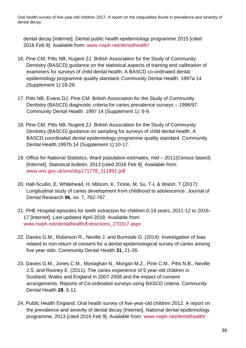dental decay [Internet]. Dental public health epidemiology programme 2015 [cited 2016 Feb 9]. Available from: [www.nwph.net/dentalhealth/](http://www.nwph.net/dentalhealth)

- 16. Pine CM, Pitts NB, Nugent ZJ. British Association for the Study of Community Dentistry (BASCD) guidance on the statistical aspects of training and calibration of examiners for surveys of child dental health. A BASCD co-ordinated dental epidemiology programme quality standard. Community Dental Health. 1997a 14 (Supplement 1):18-29.
- 17. Pitts NB, Evans DJ, Pine CM. British Association for the Study of Community Dentistry (BASCD) diagnostic criteria for caries prevalence surveys – 1996/97. Community Dental Health. 1997 14 (Supplement 1): 6-9.
- 18. Pine CM, Pitts NB, Nugent ZJ. British Association for the Study of Community Dentistry (BASCD) guidance on sampling for surveys of child dental health. A BASCD coordinated dental epidemiology programme quality standard. Community Dental Health.1997b 14 (Supplement 1):10-17.
- 19. Office for National Statistics. Ward population estimates, mid 2011(Census based) [Internet]. Statistical bulletin, 2013 [cited 2016 Feb 9]. Available from: [www.ons.gov.uk/ons/dcp171778\\_311891.pdf](http://www.ons.gov.uk/ons/dcp171778_311891.pdf)
- 20. Hall-Scullin, E, Whitehead, H, Milsom, K, Tickle, M, Su, T-L & Walsh, T (2017): Longitudinal study of caries development from childhood to adolescence. Journal of Dental Research **96**, no. 7, 762-767.
- 21. PHE Hospital episodes for teeth extraction for children 0-19 years, 2011-12 to 2016- 17 [Internet]. Last updated April 2018. Available from: [www.nwph.net/dentalhealth/Extractions\\_270317.aspx](http://www.nwph.net/dentalhealth/Extractions_270317.aspx)
- 22. Davies G.M., Robinson R., Neville J. and Burnside G. (2014): Investigation of bias related to non-return of consent for a dental epidemiological survey of caries among five year olds. Community Dental Health **31**, 21-26.
- 23. Davies G.M., Jones C.M., Monaghan N., Morgan M.Z., Pine C.M., Pitts N.B., Neville J.S. and Rooney E. (2011): The caries experience of 5 year-old children in Scotland, Wales and England in 2007-2008 and the impact of consent arrangements. Reports of Co-ordinated surveys using BASCD criteria. Community Dental Health **28**, 5-11.
- 24. Public Health England. Oral health survey of five-year-old children 2012. A report on the prevalence and severity of dental decay [Internet]. National dental epidemiology programme, 2013 [cited 2016 Feb 9]. Available from: [www.nwph.net/dentalhealth/](http://www.nwph.net/dentalhealth/)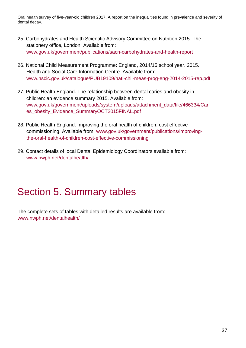- 25. Carbohydrates and Health Scientific Advisory Committee on Nutrition 2015. The stationery office, London. Available from: [www.gov.uk/government/publications/sacn-carbohydrates-and-health-report](http://www.gov.uk/government/publications/sacn-carbohydrates-and-health-report)
- 26. National Child Measurement Programme: England, 2014/15 school year. 2015. Health and Social Care Information Centre. Available from: [www.hscic.gov.uk/catalogue/PUB19109/nati-chil-meas-prog-eng-2014-2015-rep.pdf](http://www.hscic.gov.uk/catalogue/PUB19109/nati-chil-meas-prog-eng-2014-2015-rep.pdf)
- 27. Public Health England. The relationship between dental caries and obesity in children: an evidence summary 2015. Available from: [www.gov.uk/government/uploads/system/uploads/attachment\\_data/file/466334/Cari](http://www.gov.uk/government/uploads/system/uploads/attachment_data/file/466334/Caries_obesity_Evidence_SummaryOCT2015FINAL.pdf) [es\\_obesity\\_Evidence\\_SummaryOCT2015FINAL.pdf](http://www.gov.uk/government/uploads/system/uploads/attachment_data/file/466334/Caries_obesity_Evidence_SummaryOCT2015FINAL.pdf)
- 28. Public Health England. Improving the oral health of children: cost effective commissioning. Available from: [www.gov.uk/government/publications/improving](http://www.gov.uk/government/publications/improving-the-oral-health-of-children-cost-effective-commissioning)[the-oral-health-of-children-cost-effective-commissioning](http://www.gov.uk/government/publications/improving-the-oral-health-of-children-cost-effective-commissioning)
- 29. Contact details of local Dental Epidemiology Coordinators available from: [www.n](http://www./)wph.net/dentalhealth/

## <span id="page-36-0"></span>Section 5. Summary tables

The complete sets of tables with detailed results are available from: [www.nwph.net/dentalhealth/](http://www.nwph.net/dentalhealth)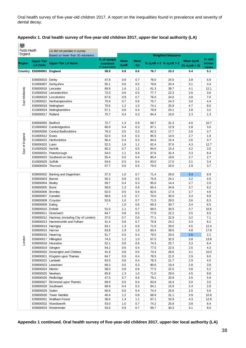| 燃                    |                                        |                                              |                                            |                          |                       |                                  |                          |                                                     |                   |
|----------------------|----------------------------------------|----------------------------------------------|--------------------------------------------|--------------------------|-----------------------|----------------------------------|--------------------------|-----------------------------------------------------|-------------------|
| <b>Public Health</b> |                                        | LA did not partake in survey                 |                                            |                          |                       |                                  |                          |                                                     |                   |
| England              |                                        | Based on fewer than 30 volunteers            |                                            |                          |                       |                                  | <b>Weighted Measures</b> |                                                     |                   |
| <b>Region</b>        | <b>Upper-Tier</b><br><b>LA Code</b>    | <b>Upper-Tier LA Name</b>                    | % of sample<br>examined<br>(* unavailable) | <b>Mean</b><br>$d_3$ mft | <b>Mean</b><br>$d_3t$ | % $d_3$ mft = 0  % $d_3$ mft > 0 |                          | Mean d <sub>3</sub> mft<br>% d <sub>3</sub> mft > 0 | % with<br>incisor |
| Country              | E92000001 England                      |                                              | 58.9                                       | 0.8                      | 0.6                   | 76.7                             | 23.3                     | 3.4                                                 | caries<br>5.1     |
|                      |                                        |                                              |                                            |                          |                       |                                  |                          |                                                     |                   |
|                      | E06000015   Derby                      |                                              | 47.8                                       | 0.9                      | 0.7                   | 76.0                             | 24.0                     | 3.8                                                 | 5.9               |
|                      | E10000007                              | Derbyshire                                   | 55.1                                       | 0.6                      | 0.5                   | 79.6                             | 20.4                     | 3.1                                                 | 3.4               |
|                      | E06000016   Leicester                  |                                              | 69.9                                       | 1.6                      | 1.2                   | 61.3                             | 38.7                     | 4.1                                                 | 12.1              |
| East Midlands        |                                        | E10000018   Leicestershire                   | 72.0                                       | 0.6                      | 0.5                   | 77.7                             | 22.3                     | 2.6                                                 | 3.6               |
|                      |                                        | E10000019   Lincolnshire                     | 67.8                                       | 0.9                      | 0.7                   | 76.0                             | 24.0                     | 3.8                                                 | 7.0               |
|                      |                                        | E10000021 Northamptonshire                   | 70.9                                       | 0.7                      | 0.6                   | 75.7                             | 24.3                     | 3.0                                                 | 4.4               |
|                      | E06000018 Nottingham                   |                                              | 70.5                                       | 1.2                      | 1.0                   | 74.1                             | 25.9                     | 4.7                                                 | 8.0               |
|                      |                                        | E10000024 Nottinghamshire                    | 57.1                                       | 0.6                      | 0.4                   | 79.9                             | 20.1                     | 2.8                                                 | 3.2               |
|                      | E06000017   Rutland                    |                                              | 70.7                                       | 0.4                      | 0.3                   | 84.4                             | 15.6                     | 2.3                                                 | 1.3               |
|                      |                                        |                                              |                                            |                          |                       |                                  |                          |                                                     |                   |
|                      | E06000055   Bedford                    |                                              | 72.7                                       | 1.3                      | 0.9                   | 68.7                             | 31.3                     | 4.0                                                 | 10.7              |
|                      |                                        | E10000003 Cambridgeshire                     | 60.9                                       | 0.4                      | 0.3                   | 87.1                             | 12.9                     | 2.8                                                 | 3.0               |
|                      |                                        | E06000056 Central Bedfordshire               | 79.3                                       | 0.5                      | 0.3                   | 82.3                             | 17.7                     | 2.6                                                 | 3.7               |
| East of England      | E10000012 Essex                        |                                              | 52.0                                       | 0.4                      | 0.3                   | 85.5                             | 14.5                     | 2.7                                                 | 1.9               |
|                      |                                        | E10000015   Hertfordshire                    | 56.4                                       | 0.4                      | 0.3                   | 84.6                             | 15.4                     | 2.6                                                 | 3.7               |
|                      | E06000032   Luton                      |                                              | 52.3                                       | 1.6                      | 1.1                   | 62.4                             | 37.6                     | 4.3                                                 | 12.7              |
|                      | E10000020 Norfolk                      |                                              | 60.2                                       | 0.7                      | 0.5                   | 84.6                             | 15.4                     | 4.2                                                 | 3.5               |
|                      | E06000031                              | Peterborough                                 | 54.0                                       | 1.1                      | 0.9                   | 67.6                             | 32.4                     | 3.3                                                 | 8.4               |
|                      | E06000033                              | Southend-on-Sea                              | 55.4                                       | 0.5                      | 0.4                   | 80.4                             | 19.6                     | 2.7                                                 | 2.7               |
|                      | E10000029                              | Suffolk                                      | 54.6                                       | 0.5                      | 0.4                   | 83.0                             | 17.0                     | 3.1                                                 | 3.4               |
|                      | E06000034 Thurrock                     |                                              | 57.7                                       | 0.6                      | 0.5                   | 79.5                             | 20.5                     | 2.9                                                 | 3.7               |
|                      |                                        |                                              |                                            |                          |                       |                                  |                          |                                                     |                   |
|                      |                                        | E09000002 Barking and Dagenham               | 37.3                                       | 1.0                      | 0.7                   | 71.4                             | 28.6                     | 3.4                                                 | 8.9               |
|                      | E09000003   Barnet                     |                                              | 50.2                                       | 0.8                      | 0.5                   | 75.9                             | 24.1                     | 3.2                                                 | 5.5               |
|                      | E09000004   Bexley                     |                                              | 59.7                                       | 0.4                      | 0.3                   | 85.6                             | 14.4                     | 2.7                                                 | 2.0               |
|                      | E09000005                              | Brent                                        | 59.9                                       | 1.3                      | 0.9                   | 65.4                             | 34.6                     | 3.7                                                 | 9.2               |
|                      | E09000006   Bromley                    |                                              | 62.0                                       | 0.5                      | 0.4                   | 82.6                             | 17.4                     | 2.7                                                 | 4.6               |
|                      | E09000007                              | Camden                                       | 58.6                                       | 1.0                      | 0.7                   | 70.0                             | 30.0                     | 3.4                                                 | 9.9               |
|                      | E09000008 Croydon                      |                                              | 52.8<br>$\star$                            | 1.0                      | 0.7                   | 71.5                             | 28.5                     | 3.6                                                 | 8.3               |
|                      | E09000009                              | Ealing                                       |                                            | 1.0                      | 0.6                   | 69.3                             | 30.7                     | 3.4                                                 | 6.5               |
|                      | E09000010   Enfield                    |                                              | 51.0                                       | 1.1                      | 0.7                   | 69.5                             | 30.5                     | 3.7                                                 | 10.6              |
|                      | E09000011                              | Greenwich                                    | 64.7                                       | 0.8                      | 0.5                   | 77.8                             | 22.2                     | 3.5                                                 | 6.5               |
|                      |                                        | E09000012 Hackney (including City of London) | 37.0                                       | 0.7                      | 0.6                   | 77.1                             | 22.9                     | 3.2                                                 | 7.1               |
|                      |                                        | E09000013 Hammersmith and Fulham             | 41.4                                       | 0.8                      | 0.7                   | 75.8                             | 24.2                     | 3.4                                                 | 6.2               |
|                      | E09000014 Haringey                     |                                              | 63.1                                       | 1.3                      | 0.9                   | 71.0                             | 29.0                     | 4.5                                                 | 12.4              |
|                      | E09000015   Harrow                     |                                              | 63.8                                       | 1.9                      | 1.5                   | 60.4                             | 39.6                     | 4.8                                                 | 17.8              |
|                      | E09000016   Havering                   |                                              | 51.7                                       | 0.5                      | 0.4                   | 79.5                             | 20.5                     | 2.5                                                 | 2.2               |
| London               | E09000017 Hillingdon                   |                                              | 74.3                                       | 1.2                      | 1.0                   | 67.5                             | 32.5                     | 3.8                                                 | 13.8              |
|                      | E09000018   Hounslow                   |                                              | 52.1                                       | 0.8                      | 0.6                   | 74.3                             | 25.7                     | 3.3                                                 | 6.4               |
|                      | E09000019   Islington                  |                                              | 54.2                                       | 0.6                      | 0.4                   | 77.5                             | 22.5                     | 2.5                                                 | 4.3               |
|                      |                                        | E09000020 Kensington and Chelsea             | 41.9                                       | 0.8                      | 0.5                   | 73.4                             | 26.6                     | 3.1                                                 | 10.0              |
|                      |                                        | E09000021 Kingston upon Thames               | 64.7                                       | 0.6                      | 0.4                   | 78.5                             | 21.5                     | 2.9                                                 | 6.0               |
|                      | E09000022 Lambeth                      |                                              | 63.0                                       | 0.6                      | 0.4                   | 78.3                             | 21.7                     | 2.9                                                 | 4.5               |
|                      | E09000023 Lewisham                     |                                              | 69.3                                       | 0.5                      | 0.3                   | 80.6                             | 19.4                     | 2.8                                                 | 3.8               |
|                      | E09000024   Merton<br>E09000025 Newham |                                              | 58.5                                       | 0.8                      | 0.6                   | 77.5                             | 22.5                     | 3.8                                                 | 5.2               |
|                      |                                        |                                              | 65.8                                       | 1.3                      | 1.0                   | 71.0                             | 29.0                     | 4.5                                                 | 8.8               |
|                      | E09000026 Redbridge                    |                                              | 47.5                                       | 0.7                      | 0.6                   | 79.1                             | 20.9                     | 3.5                                                 | 5.9               |
|                      |                                        | E09000027 Richmond upon Thames               | 69.9                                       | 0.5                      | 0.4                   | 83.6                             | 16.4                     | 3.0                                                 | 3.5               |
|                      | E09000028 Southwark                    |                                              | 68.9                                       | 0.4                      | 0.3                   | 84.1                             | 15.9                     | 2.4                                                 | 2.8               |
|                      | E09000029 Sutton                       |                                              | 60.6                                       | 0.6                      | 0.4                   | 74.4                             | 25.6                     | 2.5                                                 | 5.6               |
|                      |                                        | E09000030 Tower Hamlets                      | 40.4                                       | 1.2                      | 0.8                   | 68.9                             | 31.1                     | 3.9                                                 | 10.8              |
|                      | E09000031                              | <b>Waltham Forest</b>                        | 36.6                                       | 1.4                      | 1.1                   | 67.1                             | 32.9                     | 4.3                                                 | 12.8              |
|                      |                                        | E09000032 Wandsworth                         | 53.0                                       | 1.0                      | 0.7                   | 74.2                             | 25.8                     | 3.8                                                 | 8.4               |
|                      |                                        | E09000033 Westminster                        | 53.0                                       | 0.9                      | 0.7                   | 69.7                             | 30.3                     | 3.1                                                 | 9.0               |

**Appendix 1 continued. Oral health survey of five-year-old children 2017, upper-tier local authority (LA)**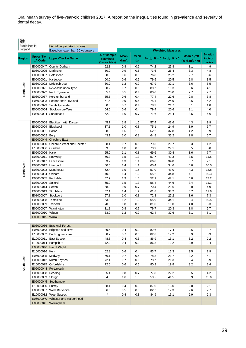| 燃                               |                                     |                                                                   |                                            |                         |                          |      |                                  |                                   |                                    |
|---------------------------------|-------------------------------------|-------------------------------------------------------------------|--------------------------------------------|-------------------------|--------------------------|------|----------------------------------|-----------------------------------|------------------------------------|
| <b>Public Health</b><br>England |                                     | LA did not partake in survey<br>Based on fewer than 30 volunteers |                                            |                         | <b>Weighted Measures</b> |      |                                  |                                   |                                    |
| <b>Region</b>                   | <b>Upper-Tier</b><br><b>LA Code</b> | <b>Upper-Tier LA Name</b>                                         | % of sample<br>examined<br>(* unavailable) | <b>Mean</b><br>$d3$ mft | <b>Mean</b><br>$d_3t$    |      | % $d_3$ mft = 0  % $d_3$ mft > 0 | Mean $d_3$ mft<br>$% d3$ mft > 0) | % with<br><i>incisor</i><br>caries |
|                                 | E06000047                           | County Durham                                                     | 52.3                                       | 0.8                     | 0.6                      | 74.2 | 25.8                             | 3.1                               | 4.9                                |
|                                 | E06000005                           | Darlington                                                        | 50.9                                       | 0.9                     | 0.6                      | 73.6 | 26.4                             | 3.3                               | 4.8                                |
|                                 | E08000037                           | Gateshead                                                         | 60.3                                       | 0.6                     | 0.5                      | 76.8 | 23.2                             | 2.7                               | 3.6                                |
|                                 | E06000001                           | Hartlepool                                                        | 60.0                                       | 0.6                     | 0.5                      | 79.5 | 20.5                             | 2.8                               | 3.5                                |
|                                 | E06000002                           | Middlesbrough                                                     | 60.2                                       | 1.2                     | 0.9                      | 67.9 | 32.1                             | 3.6                               | 8.5                                |
| North East                      | E08000021                           | Newcastle upon Tyne                                               | 50.2                                       | 0.7                     | 0.5                      | 80.7 | 19.3                             | 3.6                               | 4.1                                |
|                                 | E08000022                           | North Tyneside                                                    | 65.4                                       | 0.5                     | 0.4                      | 80.0 | 20.0                             | 2.7                               | 2.7                                |
|                                 | E06000057                           | Northumberland                                                    | 55.5                                       | 0.6                     | 0.4                      | 77.4 | 22.6                             | 2.8                               | 3.8                                |
|                                 | E06000003                           | Redcar and Cleveland                                              | 61.5                                       | 0.9                     | 0.6                      | 75.1 | 24.9                             | 3.6                               | 4.2                                |
|                                 |                                     | E08000023 South Tyneside                                          | 60.8                                       | 0.7                     | 0.4                      | 78.3 | 21.7                             | 3.1                               | 1.8                                |
|                                 | E06000004                           | Stockton-on-Tees                                                  | 64.6                                       | 0.6                     | 0.4                      | 79.4 | 20.6                             | 3.1                               | 4.0                                |
|                                 |                                     | E08000024 Sunderland                                              | 52.9                                       | 1.0                     | 0.7                      | 71.6 | 28.4                             | 3.5                               | 6.6                                |
|                                 |                                     |                                                                   |                                            |                         |                          |      |                                  |                                   |                                    |
|                                 | E06000008                           | <b>Blackburn with Darwen</b>                                      | 45.7                                       | 1.8                     | 1.5                      | 57.4 | 42.6                             | 4.3                               | 9.9                                |
|                                 | E06000009                           | Blackpool                                                         | 37.1                                       | 1.0                     | 0.8                      | 75.1 | 24.9                             | 3.9                               | 5.7                                |
|                                 | E08000001                           | <b>Bolton</b>                                                     | 58.8                                       | 1.6                     | 1.3                      | 62.2 | 37.8                             | 4.2                               | 9.9                                |
|                                 | E08000002   Bury                    |                                                                   | 43.1                                       | 1.0                     | 0.8                      | 64.8 | 35.2                             | 2.8                               | 5.7                                |
|                                 |                                     | E06000049 Cheshire East                                           |                                            |                         |                          |      |                                  |                                   |                                    |
|                                 | E06000050                           | Cheshire West and Chester                                         | 38.4                                       | 0.7                     | 0.5                      | 79.3 | 20.7                             | 3.3                               | 1.2                                |
|                                 | E10000006                           | Cumbria                                                           | 59.0                                       | 1.0                     | 0.8                      | 70.9 | 29.1                             | 3.5                               | 5.0                                |
|                                 | E06000006                           | Halton                                                            | 55.0                                       | 1.1                     | 0.8                      | 69.6 | 30.4                             | 3.6                               | 7.7                                |
|                                 | E08000011                           | Knowsley                                                          | 50.3                                       | 1.5                     | 1.3                      | 57.7 | 42.3                             | 3.5                               | 11.5                               |
|                                 | E10000017                           | Lancashire                                                        | 53.2                                       | 1.3                     | 1.1                      | 66.0 | 34.0                             | 3.7                               | 7.1                                |
| North West                      | E08000012   Liverpool               |                                                                   | 50.6                                       | 1.4                     | 1.1                      | 65.4 | 34.6                             | 4.0                               | 10.0                               |
|                                 |                                     | E08000003   Manchester                                            | 62.4                                       | 1.9                     | 1.5                      | 57.0 | 43.0                             | 4.3                               | 13.8                               |
|                                 | E08000004                           | Oldham                                                            | 40.8                                       | 1.4                     | 1.2                      | 65.2 | 34.8                             | 4.1                               | 10.3                               |
|                                 | E08000005                           | Rochdale                                                          | 47.9                                       | 1.9                     | 1.6                      | 52.9 | 47.1                             | 4.0                               | 13.2                               |
|                                 | E08000006 Salford                   |                                                                   | 65.0                                       | 1.5                     | 1.3                      | 55.4 | 44.6                             | 3.4                               | 11.1                               |
|                                 | E08000014 Sefton                    |                                                                   | 68.0                                       | 0.9                     | 0.7                      | 70.4 | 29.6                             | 3.0                               | 4.9                                |
|                                 | E08000013   St. Helens              |                                                                   | 57.1                                       | 1.4                     | 1.2                      | 61.8 | 38.2                             | 3.7                               | 11.6                               |
|                                 | E08000007                           | Stockport                                                         | 57.8                                       | 1.0                     | 0.8                      | 72.8 | 27.2                             | 3.6                               | 7.3                                |
|                                 | E08000008                           | Tameside                                                          | 53.8                                       | 1.2                     | 1.0                      | 65.9 | 34.1                             | 3.4                               | 10.5                               |
|                                 | E08000009                           | Trafford                                                          | 70.0                                       | 0.8                     | 0.6                      | 81.0 | 19.0                             | 4.0                               | 6.3                                |
|                                 | E06000007                           | Warrington                                                        | 31.1                                       | 0.8                     | 0.7                      | 79.7 | 20.3                             | 3.8                               | 5.7                                |
|                                 | E08000010                           | Wigan                                                             | 63.9                                       | 1.2                     | 0.9                      | 62.4 | 37.6                             | 3.1                               | 8.1                                |
|                                 | E08000015 Wirral                    |                                                                   |                                            |                         |                          |      |                                  |                                   |                                    |
|                                 |                                     | E06000036 Bracknell Forest                                        |                                            |                         |                          |      |                                  |                                   |                                    |
|                                 |                                     | E06000043 Brighton and Hove                                       | 89.5                                       | 0.4                     | 0.2                      | 82.6 | 17.4                             | 2.6                               | 2.7                                |
|                                 |                                     | E10000002 Buckinghamshire                                         | 68.7                                       | 0.7                     | $0.5\,$                  | 82.8 | 17.2                             | 3.9                               | 5.9                                |
|                                 |                                     | E10000011 East Sussex                                             | 48.8                                       | 0.4                     | 0.3                      | 86.9 | 13.1                             | 3.2                               | 2.2                                |
|                                 | E10000014 Hampshire                 |                                                                   | 72.0                                       | 0.4                     | 0.3                      | 86.8 | 13.2                             | 2.9                               | 2.4                                |
|                                 |                                     | E06000046 Isle of Wight                                           |                                            |                         |                          |      |                                  |                                   |                                    |
|                                 | E10000016 Kent                      |                                                                   | 62.8                                       | 0.6                     | 0.4                      | 83.7 | 16.3                             | 3.5                               | 2.9                                |
|                                 | E06000035 Medway                    |                                                                   | 56.1                                       | 0.7                     | 0.5                      | 78.3 | 21.7                             | 3.2                               | 4.1                                |
| South East                      |                                     | E06000042 Milton Keynes                                           | 72.4                                       | 0.7                     | 0.6                      | 78.7 | 21.3                             | 3.4                               | 5.9                                |
|                                 |                                     | E10000025 Oxfordshire                                             | 72.6                                       | 0.6                     | 0.5                      | 80.2 | 19.8                             | 3.2                               | 3.4                                |
|                                 |                                     | E06000044 Portsmouth                                              |                                            |                         |                          |      |                                  |                                   |                                    |
|                                 | E06000038 Reading                   |                                                                   | 65.4                                       | 0.8                     | 0.7                      | 77.8 | 22.2                             | 3.5                               | 4.2                                |
|                                 | E06000039 Slough                    |                                                                   | 64.8                                       | 1.6                     | 1.3                      | 58.5 | 41.5                             | 3.9                               | 15.6                               |
|                                 |                                     | E06000045 Southampton                                             |                                            |                         |                          |      |                                  |                                   |                                    |
|                                 | E10000030 Surrey                    |                                                                   | 58.1                                       | 0.4                     | 0.3                      | 87.0 | 13.0                             | 2.8                               | 2.1                                |
|                                 |                                     | E06000037 West Berkshire                                          | 66.6                                       | 0.5                     | 0.3                      | 82.7 | 17.3                             | 2.6                               | 2.7                                |
|                                 |                                     | E10000032 West Sussex                                             | $\star$                                    | 0.4                     | 0.3                      | 84.9 | 15.1                             | 2.9                               | 2.3                                |
|                                 |                                     | E06000040 Windsor and Maidenhead                                  |                                            |                         |                          |      |                                  |                                   |                                    |
|                                 |                                     | E06000041 Wokingham                                               |                                            |                         |                          |      |                                  |                                   |                                    |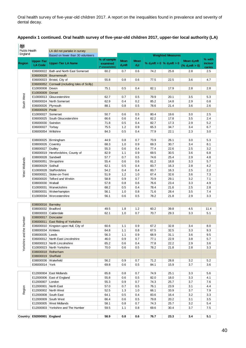#### **Appendix 1 continued. Oral health survey of five-year-old children 2017, upper-tier local authority (LA)**

燃 Public Health<br>England LA did not partake in survey **Weighted Measures** Based on fewer than 30 volunteers **% with % of sample Mean d3mft Region Upper-Tier Mean Mean LA Code Upper-Tier LA Name % d3mft = 0 % d3mft > 0 incisor examined d3mft d3t (% d3mft > 0) caries (\* unavailable)** E06000022 Bath and North East Somerset 60.2 0.7 0.6 74.2 25.8 2.8 2.5 E06000028 Bournemouth E06000023 Bristol, City of 55.8 0.8 0.6 77.5 22.5 3.6 4.7 E06000052 Cornwall (including Isles of Scilly) E10000008 Devon 75.1 0.5 0.4 82.1 17.9 2.8 2.8 E10000009 Dorset Yorkshire and the Humber South West West South West South West South West South West South West E10000013 Gloucestershire 62.7 0.7 0.5 79.9 20.1 3.5 5.3 E06000024 North Somerset 62.9 0.4 0.2 85.2 14.8 2.9 0.8 E06000026 Plymouth 88.1 0.8 0.5 78.6 21.4 3.6 2.6 E06000029 Poole E10000027 Somerset 1 50.7 0.6 0.5 80.4 19.6 3.0 2.5 E06000025 South Gloucestershire 66.6 0.6 0.4 82.2 17.8 3.5 2.4 E06000030 Swindon 71.8 0.5 0.4 82.7 17.3 2.9 5.2 E06000027 Torbay 75.5 1.2 0.9 65.3 34.7 3.4 6.7 E06000054 Wiltshire **84.3** 0.5 0.4 77.9 22.1 2.3 3.0 E08000025 Birmingham 44.9 0.8 0.7 73.9 26.1 3.0 5.3 E08000026 Coventry 68.3 1.0 0.9 69.3 30.7 3.4 8.1 E08000027 Dudley 55.3 0.6 0.4 77.4 22.6 2.5 3.2 E06000019 Herefordshire, County of 82.9 1.1 0.9 69.5 30.5 3.6 6.8 E08000028 Sandwell 57.7 0.7 0.5 74.6 25.4 2.9 4.8 West Midlands E06000051 Shropshire 55.4 0.6 0.6 81.2 18.8 3.3 5.7 E08000029 Solihull 62.1 0.5 0.4 83.7 16.3 2.8 4.2 E10000028 Staffordshire 654.2 0.4 0.4 83.7 16.3 2.5 2.2 E06000021 Stoke-on-Trent 51.9 1.2 1.0 67.4 32.6 3.6 7.3 E06000020 Telford and Wrekin 58.8 0.9 0.7 70.9 29.1 3.2 7.1 E08000030 Walsall 57.8 0.8 0.6 76.6 23.4 3.3 4.9 E10000031 Warwickshire 68.2 0.5 0.4 78.4 21.6 2.5 2.8 E08000031 Wolverhampton 56.1 1.0 0.8 71.6 28.4 3.5 7.4 E10000034 Worcestershire 1 56.1 0.6 0.5 78.2 21.8 2.9 3.3 E08000016 Barnsley E08000032 Bradford 49.5 1.8 1.2 60.2 39.8 4.5 11.4 E08000033 Calderdale 62.1 1.0 0.7 70.7 29.3 3.3 5.1 E08000017 Doncaster Yorkshire and the Humber E06000011 East Riding of Yorkshire E06000010 Kingston upon Hull, City of 60.6 1.1 0.9 67.2 32.8 3.4 8.0 E08000034 Kirklees 64.8 1.1 0.8 67.5 32.5 3.3 9.3 E08000035 Leeds 56.3 1.1 0.9 68.9 31.1 3.6 9.5 E06000012 North East Lincolnshire 46.0 0.9 0.7 77.1 22.9 3.8 5.7 E06000013 North Lincolnshire 65.2 0.6 0.4 77.8 22.2 2.9 3.6 E10000023 North Yorkshire 70.0 0.6 0.5 78.2 21.8 2.8 3.3 E08000018 Rotherham E08000019 Sheffield E08000036 Wakefield 56.2 0.9 0.7 71.2 28.8 3.2 5.2 E06000014 York 69.8 0.6 0.5 84.1 15.9 3.7 3.6 E12000004 East Midlands 65.8 0.8 0.7 74.9 25.1 3.3 5.6 E12000006 East of England 55.8 0.6 0.5 82.0 18.0 3.3 4.1 E12000007 London 55.3 0.9 0.7 74.3 25.7 3.7 7.6 E12000001 North East 57.0 0.7 0.5 76.1 23.9 3.1 4.4 E12000001 North East<br>
E12000002 North West<br>
E12000002 North West<br>
E12000008 South East<br>
E12000009 South West<br>
E12000009 South West<br>
E12000009 South West<br>
E12000000 South West<br>
E12000000 South West<br>
E12000000 South West<br>
E1 E12000002 North West 52.5 1.3 1.0 66.1 33.9 3.7 7.9 E12000008 South East 64.1 0.5 0.4 83.6 16.4 3.2 3.3 E12000009 South West 66.4 0.6 0.5 79.8 20.2 3.1 3.5 E12000005 West Midlands 1.58.1 0.8 0.7 74.3 25.7 3.2 5.4 E12000003 Yorkshire and The Humber | 59.5 | 1.1 | 0.8 | 69.6 | 30.4 | 3.7 | 7.5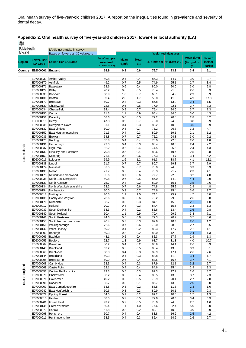| Public Health   |                        | LA did not partake in survey               |                |                          |             |              |                                   |                   |            |
|-----------------|------------------------|--------------------------------------------|----------------|--------------------------|-------------|--------------|-----------------------------------|-------------------|------------|
| England         |                        | Based on fewer than 30 volunteers          |                | <b>Weighted Measures</b> |             |              |                                   |                   |            |
|                 | <b>Lower-Tier</b>      |                                            | % of sample    | <b>Mean</b>              | <b>Mean</b> |              |                                   | Mean $d_3$ mft    | % with     |
| <b>Region</b>   | <b>LA Code</b>         | <b>Lower-Tier LA Name</b>                  | examined       | $d_3$ mft                | $d_3t$      |              | % $d_3$ mft = 0   % $d_3$ mft > 0 | (% $d_3$ mft >    | incisor    |
|                 |                        |                                            | * unavailable) |                          |             |              |                                   | $\vert 0 \rangle$ | caries     |
| Country         | E92000001              | England                                    | 58.9           | 0.8                      | 0.6         | 76.7         | 23.3                              | 3.4               | 5.1        |
|                 | E07000032              | Amber Valley                               | 59.8           | 0.4                      | 0.4         | 85.3         | 14.7                              | 3.0               | 2.7        |
|                 | E07000170              | Ashfield                                   | 49.2           | 0.7                      | 0.5         | 74.9         | 25.1                              | 2.7               | 3.4        |
|                 | E07000171              | Bassetlaw                                  | 58.6           | 0.6                      | 0.4         | 80.0         | 20.0                              | 3.0               | 2.8        |
|                 | E07000129              | Blaby                                      | 70.2           | 0.6                      | 0.5         | 78.4         | 21.6                              | 2.6               | 3.3        |
|                 | E07000033              | Bolsover                                   | 60.9           | 1.0                      | 0.7         | 65.1         | 34.9                              | 2.9               | 3.9        |
|                 | E07000136              | Boston                                     | 69.4           | 2.0                      | 1.7         | 59.0         | 41.0                              | 4.9               | 17.3       |
|                 | E07000172<br>E07000130 | Broxtowe<br>Charnwood                      | 69.7<br>72.5   | 0.3<br>0.6               | 0.3<br>0.5  | 86.8<br>77.9 | 13.2<br>22.1                      | 2.4<br>2.7        | 1.5<br>3.3 |
|                 | E07000034              | Chesterfield                               | 34.4           | 0.9                      | 0.7         | 75.4         | 24.6                              | 3.7               | 7.3        |
|                 | E07000150              | Corby                                      | 71.3           | 1.1                      | 0.9         | 65.4         | 34.6                              | 3.0               | 4.3        |
|                 | E07000151              | Daventry                                   | 68.6           | 0.6                      | 0.5         | 79.2         | 20.8                              | 2.8               | 3.2        |
|                 | E06000015              | Derby                                      | 47.8           | 0.9                      | 0.7         | 76.0         | 24.0                              | 3.8               | 5.9        |
|                 | E07000035              | Derbyshire Dales                           | 61.1           | 0.4                      | 0.3         | 89.2         | 10.8                              | 3.5               | 0.9        |
|                 | E07000137              | East Lindsey                               | 60.0           | 0.8                      | 0.7         | 73.2         | 26.8                              | 3.2               | 4.7        |
|                 | E07000152              | <b>East Northamptonshire</b>               | 71.3<br>54.8   | 0.4                      | 0.3<br>0.7  | 80.9<br>75.2 | 19.1<br>24.8                      | 2.1<br>3.0        | 1.2<br>2.2 |
|                 | E07000036<br>E07000173 | Erewash<br>Gedling                         | 55.8           | 0.7<br>0.4               | 0.4         | 78.0         | 22.0                              | 2.0               | 1.8        |
|                 | E07000131              | Harborough                                 | 72.0           | 0.4                      | 0.3         | 83.4         | 16.6                              | 2.4               | 2.2        |
| East Midlands   | E07000037              | <b>High Peak</b>                           | 62.2           | 0.6                      | 0.4         | 74.5         | 25.5                              | 2.4               | 4.3        |
|                 | E07000132              | Hinckley and Bosworth                      | 70.8           | 0.5                      | 0.4         | 80.6         | 19.4                              | 2.5               | 3.8        |
|                 | E07000153              | Kettering                                  | 71.6           | 0.8                      | 0.6         | 75.3         | 24.7                              | 3.4               | 5.2        |
|                 | E06000016              | Leicester                                  | 69.9           | 1.6                      | 1.2         | 61.3         | 38.7                              | 4.1               | 12.1       |
|                 | E07000138              | Lincoln                                    | 61.7           | 0.7                      | 0.7         | 80.7         | 19.3                              | 3.7               | 7.9        |
|                 | E07000174<br>E07000133 | Mansfield<br>Melton                        | 57.5<br>71.7   | 0.8<br>0.5               | 0.7<br>0.4  | 76.0<br>78.3 | 24.0<br>21.7                      | 3.3<br>2.3        | 6.3<br>4.1 |
|                 | E07000175              | Newark and Sherwood                        | 55.6           | 0.7                      | 0.6         | 77.7         | 22.3                              | 3.2               | 4.8        |
|                 | E07000038              | North East Derbyshire                      | 50.8           | 0.6                      | 0.5         | 86.0         | 14.0                              | 4.4               | 3.9        |
|                 | E07000139              | North Kesteven                             | 75.7           | 0.3                      | 0.2         | 89.9         | 10.1                              | 2.5               | 2.6        |
|                 | E07000134              | North West Leicestershire                  | 73.2           | 0.7                      | 0.6         | 74.8         | 25.2                              | 2.9               | 4.8        |
|                 | E07000154              | Northampton                                | 70.0           | 0.9                      | 0.7         | 74.6         | 25.4                              | 3.6               | 7.7        |
|                 | E06000018              | Nottingham                                 | 70.5           | 1.2                      | 1.0         | 74.1         | 25.9                              | 4.7               | 8.0        |
|                 | E07000135<br>E07000176 | Oadby and Wigston<br>Rushcliffe            | 73.6<br>53.7   | 0.8<br>0.3               | 0.6<br>0.3  | 70.2<br>84.1 | 29.8<br>15.9                      | 2.6<br>2.1        | 3.8<br>1.0 |
|                 | E06000017              | Rutland                                    | 70.7           | 0.4                      | 0.3         | 84.4         | 15.6                              | 2.3               | 1.3        |
|                 | E07000039              | South Derbyshire                           | 58.3           | 0.4                      | 0.2         | 86.6         | 13.4                              | 2.6               | 0.8        |
|                 | E07000140              | South Holland                              | 60.4           | 1.1                      | 0.9         | 70.4         | 29.6                              | 3.8               | 7.1        |
|                 | E07000141              | South Kesteven                             | 74.6           | 0.8                      | 0.6         | 79.3         | 20.7                              | 3.7               | 4.6        |
|                 | E07000155              | South Northamptonshire                     | 70.4           | 0.3                      | 0.3         | 89.6         | 10.4                              | 2.6               | 1.2        |
|                 |                        | E07000156 Wellingborough                   | 72.6           | 0.7                      | 0.6         | 72.0         | 28.0                              | 2.7               | 5.5        |
|                 | E07000200              | E07000142 West Lindsey                     | 69.2<br>59.3   | 0.4<br>0.3               | 0.2<br>0.2  | 82.3         | 17.7<br>12.0                      | 2.1<br>2.4        | 1.1<br>1.3 |
|                 | E07000066              | Babergh<br>Basildon                        | 48.1           | 0.5                      | 0.4         | 88.0<br>82.3 | 17.7                              | 2.9               | 1.3        |
|                 | E06000055              | Bedford                                    | 72.7           | 1.3                      | 0.9         | 68.7         | 31.3                              | 4.0               | 10.7       |
|                 | E07000067              | <b>Braintree</b>                           | 50.2           | 0.4                      | 0.2         | 85.9         | 14.1                              | 2.6               | 0.3        |
|                 | E07000143              | Breckland                                  | 62.2           | 0.5                      | 0.5         | 86.4         | 13.6                              | 3.9               | 3.1        |
|                 | E07000068              | Brentwood                                  | 60.8           | 0.4                      | 0.3         | 82.9         | 17.1                              | 2.6               | 2.6        |
|                 | E07000144              | Broadland                                  | 60.3           | 0.4                      | 0.3         | 88.8         | 11.2                              | 3.4               | 1.7        |
|                 | E07000095<br>E07000008 | Broxbourne<br>Cambridge                    | 69.9<br>53.3   | 0.6<br>0.4               | 0.4<br>0.3  | 83.5<br>87.9 | 16.5<br>12.1                      | 3.7<br>3.2        | 4.1<br>5.7 |
|                 | E07000069              | <b>Castle Point</b>                        | 52.1           | 0.4                      | 0.4         | 84.6         | 15.4                              | 2.9               | 3.3        |
| East of England | E06000056              | Central Bedfordshire                       | 79.3           | 0.5                      | 0.3         | 82.3         | 17.7                              | 2.6               | 3.7        |
|                 | E07000070              | Chelmsford                                 | 53.2           | 0.5                      | 0.4         | 86.5         | 13.5                              | 3.7               | 2.3        |
|                 | E07000071              | Colchester                                 | 49.2           | 0.5                      | 0.5         | 79.9         | 20.1                              | 2.7               | 2.8        |
|                 | E07000096              | Dacorum                                    | 55.7           | 0.3                      | 0.1         | 86.7         | 13.3                              | 2.0               | 0.0        |
|                 | E07000009              | East Cambridgeshire                        | 63.8           | 0.3                      | 0.2         | 88.5         | 11.5                              | 2.3               | 1.6        |
|                 | E07000242<br>E07000072 | East Hertfordshire<br><b>Epping Forest</b> | 60.6<br>54.0   | 0.3<br>0.2               | 0.3<br>0.2  | 89.9<br>89.2 | 10.1<br>10.8                      | 3.1<br>1.7        | 2.3<br>1.3 |
|                 | E07000010              | Fenland                                    | 58.5           | 0.7                      | 0.5         | 79.6         | 20.4                              | 3.4               | 4.9        |
|                 | E07000201              | Forest Heath                               | 43.2           | 0.7                      | 0.5         | 76.0         | 24.0                              | 2.7               | 1.6        |
|                 | E07000145              | Great Yarmouth                             | 50.4           | 1.1                      | 1.0         | 77.6         | 22.4                              | 5.0               | 8.0        |
|                 | E07000073              | Harlow                                     | 51.8           | 0.3                      | 0.2         | 89.1         | 10.9                              | 3.0               | 0.9        |
|                 | E07000098              | Hertsmere                                  | 60.7           | 0.4                      | 0.4         | 83.8         | 16.2                              | 2.5               | 4.2        |
|                 |                        | E07000011 Huntingdonshire                  | 58.5           | 0.4                      | 0.3         | 85.4         | 14.6                              | 2.6               | 2.7        |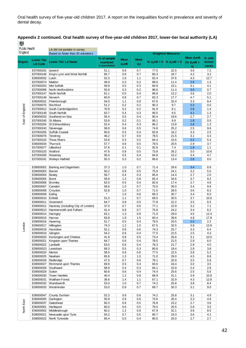#### **Appendix 2 continued. Oral health survey of five-year-old children 2017, lower-tier local authority (LA)**  戀

**Public Health** LA did not partake in survey England Based on fewer than 30 volunteers **Weighted Measures Mean d3mft % with % of sample Region Lower-Tier Mean Mean LA Code Lower-Tier LA Name % d3mft = 0 % d3mft > 0 incisor examined (% d3mft > d3mft d3t (\* unavailable) caries 0)** E07000202 Ipswich 51.1 0.8 0.7 77.5 22.5 3.6 7.2 E07000146 King's Lynn and West Norfolk 65.7 0.8 0.7 80.3 19.7 4.2 3.2 E06000032 Luton 52.3 1.6 1.1 62.4 37.6 4.3 12.7 E07000074 Maldon 49.9 0.3 0.2 88.6 11.4 2.6 1.5 E07000203 Mid Suffolk 59.9 0.5 0.3 84.9 15.1 3.1 4.1 E07000099 North Hertfordshire 55.9 0.3 0.2 88.6 11.4 3.0 0.7 E07000147 North Norfolk 61.1 0.5 0.4 86.8 13.2 3.6 2.0 E07000148 Norwich 60.9 0.8 0.7 82.3 17.7 4.7 5.1 E06000031 Peterborough 54.0 1.1 0.9 67.6 32.4 3.3 8.4 England London East of EnglandE07000075 Rochford 51.2 0.2 0.2 90.3 9.7 2.2 0.0 E07000012 South Cambridgeshire 70.9 0.2 0.2 91.9 8.1 2.8 1.4 E07000149 South Norfolk 63.7 0.4 0.3 90.5 9.5 4.1 1.3  $\mathbf{\tilde{o}}$ E06000033 Southend-on-Sea 55.4 0.5 0.4 80.4 19.6 2.7 2.7 East E07000240 St Albans 53.8 0.2 0.1 90.1 9.9 1.8 0.0 E07000204 St Edmundsbury 52.4 0.4 0.3 86.2 13.8 2.8 1.3 E07000243 Stevenage 58.9 0.6 0.5 74.8 25.2 2.5 9.6 E07000205 Suffolk Coastal 60.6 0.5 0.4 83.8 16.2 3.3 2.5 E07000076 Tendring 46.2 0.7 0.6 78.5 21.5 3.1 4.3 E07000102 Three Rivers 53.8 0.3 0.2 84.4 15.6 2.2 5.4 E06000034 Thurrock 57.7 0.6 0.5 79.5 20.5 2.9 3.7 E07000077 Uttlesford 57.8 0.1 0.1 92.6 7.4 1.9 1.1 E07000103 Watford 47.6 0.8 0.5 73.8 26.2 3.0 10.6 E07000206 Waveney 56.0 0.5 0.4 84.8 15.2 3.4 4.7 E07000241 Welwyn Hatfield 50.3 0.3 0.2 86.6 13.4 2.6 0.0 E09000002 Barking and Dagenham 37.3 1.0 0.7 71.4 28.6 3.4 8.9 E09000003 Barnet 50.2 0.8 0.5 75.9 24.1 3.2 5.5 E09000004 Bexley 59.7 0.4 0.3 85.6 14.4 2.7 2.0 E09000005 Brent 59.9 1.3 0.9 65.4 34.6 3.7 9.2 E09000006 Bromley 62.0 0.5 0.4 82.6 17.4 2.7 4.6 E09000007 Camden 58.6 1.0 0.7 70.0 30.0 3.4 9.9 E09000008 Croydon 52.8 1.0 0.7 71.5 28.5 3.6 8.3 E09000009 Ealing \* 1.0 0.6 69.3 30.7 3.4 6.5 E09000010 Enfield 51.0 1.1 0.7 69.5 30.5 3.7 10.6 E09000011 Greenwich 64.7 0.8 0.5 77.8 22.2 3.5 6.5 E09000012 Hackney (including City of London) 37.0 0.7 0.6 77.1 22.9 3.2 7.1 E09000013 Hammersmith and Fulham 41.4 0.8 0.7 75.8 24.2 3.4 6.2 E09000014 Haringey 63.1 1.3 0.9 71.0 29.0 4.5 12.4 E09000015 Harrow 63.8 1.9 1.5 60.4 39.6 4.8 17.8 E09000016 Havering 51.7 0.5 0.4 79.5 20.5 2.5 2.2 London E09000017 Hillingdon 1.2 1.0 67.5 32.5 3.8 13.8 E09000018 Hounslow 52.1 0.8 0.6 74.3 25.7 3.3 6.4 E09000019 Islington 54.2 0.6 0.4 77.5 22.5 2.5 4.3 E09000020 Kensington and Chelsea 41.9 0.8 0.5 73.4 26.6 3.1 10.0 E09000021 Kingston upon Thames 64.7 0.6 0.4 78.5 21.5 2.9 6.0 E09000022 Lambeth 63.0 0.6 0.4 78.3 21.7 2.9 4.5 E09000023 Lewisham 69.3 0.5 0.3 80.6 19.4 2.8 3.8 E09000024 Merton 58.5 0.8 0.6 77.5 22.5 3.8 5.2 E09000025 Newham 65.8 1.3 1.0 71.0 29.0 4.5 8.8 E09000026 Redbridge 47.5 0.7 0.6 79.1 20.9 3.5 5.9 E09000027 Richmond upon Thames 69.9 0.5 0.4 83.6 16.4 3.0 3.5 E09000028 Southwark 68.9 0.4 0.3 84.1 15.9 2.4 2.8 E09000029 Sutton 60.6 0.6 0.4 74.4 25.6 2.5 5.6 E09000030 Tower Hamlets 40.4 1.2 0.8 68.9 31.1 3.9 10.8 E09000031 Waltham Forest 36.6 1.4 1.1 67.1 32.9 4.3 12.8 E09000032 Wandsworth 53.0 1.0 0.7 74.2 25.8 3.8 8.4 E09000033 Westminster 53.0 0.9 0.7 69.7 30.3 3.1 9.0 E06000047 County Durham 52.3 0.8 0.6 74.2 25.8 3.1 4.9 E06000005 Darlington 50.9 0.9 0.6 73.6 26.4 3.3 4.8 E08000037 Gateshead 60.3 0.6 0.5 76.8 23.2 2.7 3.6<br>
E08000037 Gateshead 60.3 0.6 0.5 76.8 23.2 2.7 3.6<br>
E06000002 Middlesbrough 60.2 1.2 0.9 67.9 32.1 3.6 8.5<br>
E08000021 Newcastle upon Tyne 50.2 0.7 0.5 80.7 19.3 3.6 4.1<br> E08000037 Gateshead 60.3 0.6 0.5 76.8 23.2 2.7 3.6 E06000001 Hartlepool 60.0 0.6 0.5 79.5 20.5 2.8 3.5 E06000002 Middlesbrough 60.2 1.2 0.9 67.9 32.1 3.6 8.5 E08000021 Newcastle upon Tyne 50.2 0.7 0.5 80.7 19.3 3.6 4.1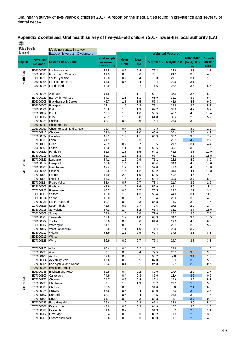| Public Health |                                       | LA did not partake in survey           |                           |                          |             |              |                               |                         |              |
|---------------|---------------------------------------|----------------------------------------|---------------------------|--------------------------|-------------|--------------|-------------------------------|-------------------------|--------------|
| England       |                                       | Based on fewer than 30 volunteers      |                           | <b>Weighted Measures</b> |             |              |                               |                         |              |
|               | <b>Lower-Tier</b>                     |                                        | % of sample               | <b>Mean</b>              | <b>Mean</b> |              |                               | Mean d <sub>3</sub> mft | % with       |
| <b>Region</b> | <b>LA Code</b>                        | <b>Lower-Tier LA Name</b>              | examined                  | $d_3$ mft                | $d_3t$      |              | % $d_3mft = 0$ % $d_3mft > 0$ | (% $d_3$ mft >          | incisor      |
|               |                                       |                                        | <sup>*</sup> unavailable) |                          |             |              |                               | $\vert 0 \rangle$       | caries       |
|               | E06000057<br>E06000003                | Northumberland<br>Redcar and Cleveland | 55.5<br>61.5              | 0.6<br>0.9               | 0.4<br>0.6  | 77.4<br>75.1 | 22.6<br>24.9                  | 2.8<br>3.6              | 3.8<br>4.2   |
| North East    | E08000023                             | South Tyneside                         | 60.8                      | 0.7                      | 0.4         | 78.3         | 21.7                          | 3.1                     | 1.8          |
|               | E06000004                             | Stockton-on-Tees                       | 64.6                      | 0.6                      | 0.4         | 79.4         | 20.6                          | 3.1                     | 4.0          |
|               | E08000024                             | Sunderland                             | 52.9                      | 1.0                      | 0.7         | 71.6         | 28.4                          | 3.5                     | 6.6          |
|               |                                       |                                        |                           |                          |             |              |                               |                         |              |
|               | E07000026                             | Allerdale                              | 61.5                      | 1.4                      | 1.1         | 62.1         | 37.9                          | 3.6                     | 6.9          |
|               | E07000027                             | Barrow-in-Furness                      | 84.3                      | 1.3                      | $1.1$       | 63.9         | 36.1                          | 3.6                     | 5.4          |
|               | E06000008                             | <b>Blackburn with Darwen</b>           | 45.7                      | 1.8                      | 1.5         | 57.4         | 42.6                          | 4.3                     | 9.9          |
|               | E06000009                             | Blackpool                              | 37.1                      | 1.0                      | 0.8         | 75.1         | 24.9                          | 3.9                     | 5.7          |
|               | E08000001                             | <b>Bolton</b>                          | 58.8<br>50.7              | 1.6                      | 1.3<br>1.6  | 62.2<br>53.5 | 37.8                          | 4.2                     | 9.9          |
|               | E07000117<br>E08000002                | <b>Burnley</b><br>Bury                 | 43.1                      | 1.8<br>1.0               | 0.8         | 64.8         | 46.5<br>35.2                  | 4.0<br>2.8              | 10.4<br>5.7  |
|               | E07000028                             | Carlisle                               | 63.1                      | 0.8                      | 0.6         | 76.4         | 23.6                          | 3.2                     | 4.8          |
|               | E06000049                             | <b>Cheshire East</b>                   |                           |                          |             |              |                               |                         |              |
|               | E06000050                             | <b>Cheshire West and Chester</b>       | 38.4                      | 0.7                      | 0.5         | 79.3         | 20.7                          | 3.3                     | 1.2          |
|               | E07000118                             | Chorley                                | 59.0                      | 1.3                      | 1.0         | 63.6         | 36.4                          | 3.5                     | 4.9          |
|               | E07000029                             | Copeland                               | 63.1                      | 1.3                      | 1.1         | 64.9         | 35.1                          | 3.6                     | 7.2          |
|               | E07000030                             | Eden                                   | 21.1                      | 1.0                      | 0.3         | 76.1         | 23.9                          | 4.2                     | 2.7          |
|               | E07000119                             | Fylde                                  | 48.9                      | 0.7                      | 0.7         | 78.5         | 21.5                          | 3.4                     | 4.4          |
|               | E06000006                             | Halton                                 | 55.0                      | 1.1                      | 0.8         | 69.6         | 30.4                          | 3.6                     | 7.7          |
|               | E07000120<br>E08000011                | Hyndburn<br>Knowsley                   | 51.8<br>50.3              | 1.8<br>1.5               | 1.5<br>1.3  | 54.2<br>57.7 | 45.8<br>42.3                  | 3.8<br>3.5              | 10.9<br>11.5 |
|               | E07000121                             | Lancaster                              | 54.1                      | 1.2                      | 0.9         | 71.1         | 28.9                          | 4.2                     | 8.9          |
|               | E08000012                             | Liverpool                              | 50.6                      | 1.4                      | 1.1         | 65.4         | 34.6                          | 4.0                     | 10.0         |
| North West    | E08000003                             | Manchester                             | 62.4                      | 1.9                      | 1.5         | 57.0         | 43.0                          | 4.3                     | 13.8         |
|               | E08000004                             | Oldham                                 | 40.8                      | 1.4                      | 1.2         | 65.2         | 34.8                          | 4.1                     | 10.3         |
|               | E07000122                             | Pendle                                 | 54.9                      | 2.3                      | 1.9         | 50.6         | 49.4                          | 4.6                     | 15.4         |
|               | E07000123                             | Preston                                | 54.3                      | 1.5                      | 1.2         | 60.4         | 39.6                          | 3.7                     | 8.3          |
|               | E07000124                             | <b>Ribble Valley</b>                   | 58.4                      | 0.7                      | 0.7         | 78.3         | 21.7                          | 3.2                     | 2.6          |
|               | E08000005                             | Rochdale                               | 47.9                      | 1.9                      | 1.6         | 52.9         | 47.1                          | 4.0                     | 13.2         |
|               | E07000125                             | Rossendale                             | 60.7                      | 0.8                      | 0.7         | 70.5         | 29.5                          | 2.9                     | 3.4          |
|               | E08000006<br>E08000014                | Salford<br>Sefton                      | 65.0<br>68.0              | 1.5<br>0.9               | 1.3<br>0.7  | 55.4<br>70.4 | 44.6<br>29.6                  | 3.4<br>3.0              | 11.1<br>4.9  |
|               | E07000031                             | South Lakeland                         | 60.4                      | 0.4                      | 0.3         | 85.8         | 14.2                          | 3.0                     | 1.6          |
|               | E07000126                             | South Ribble                           | 45.5                      | 0.8                      | 0.7         | 72.5         | 27.5                          | 2.9                     | 2.4          |
|               | E08000013                             | St. Helens                             | 57.1                      | 1.4                      | 1.2         | 61.8         | 38.2                          | 3.7                     | 11.6         |
|               | E08000007                             | Stockport                              | 57.8                      | 1.0                      | 0.8         | 72.8         | 27.2                          | 3.6                     | 7.3          |
|               | E08000008                             | Tameside                               | 53.8                      | 1.2                      | 1.0         | 65.9         | 34.1                          | 3.4                     | 10.5         |
|               | E08000009                             | Trafford                               | 70.0                      | 0.8                      | 0.6         | 81.0         | 19.0                          | 4.0                     | 6.3          |
|               | E06000007                             | Warrington                             | 31.1                      | 0.8                      | 0.7         | 79.7         | 20.3                          | 3.8                     | 5.7          |
|               | E07000127                             | West Lancashire                        | 43.8                      | 1.1                      | 1.0         | 71.4         | 28.6                          | 3.7                     | 7.0          |
|               | E08000010   Wigan<br>E08000015 Wirral |                                        | 63.9                      | 1.2                      | 0.9         | 62.4         | 37.6                          | 3.1                     | 8.1          |
|               | E07000128 Wyre                        |                                        | 56.9                      | 0.9                      | 0.7         | 75.3         | 24.7                          | 3.8                     | 3.3          |
|               |                                       |                                        |                           |                          |             |              |                               |                         |              |
|               | E07000223                             | Adur                                   | 90.4                      | 0.4                      | 0.2         | 75.1         | 24.9                          | 1.4                     | 1.0          |
|               | E07000224                             | Arun                                   | $\star$                   | 0.6                      | 0.4         | 79.5         | 20.5                          | 3.0                     | 3.8          |
|               | E07000105                             | Ashford                                | 72.6                      | 0.3                      | 0.1         | 90.2         | 9.8                           | 3.1                     | 1.3          |
|               | E07000004                             | Aylesbury Vale                         | 67.6                      | 0.5                      | 0.5         | 87.0         | 13.0                          | 3.9                     | 5.0          |
|               | E07000084                             | <b>Basingstoke and Deane</b>           | 72.3                      | 0.1                      | 0.1         | 94.3         | 5.7                           | 2.3                     | 0.4          |
|               |                                       | E06000036 Bracknell Forest             |                           |                          |             |              |                               |                         |              |
|               | E06000043                             | Brighton and Hove                      | 89.5                      | 0.4                      | 0.2<br>0.3  | 82.6         | 17.4                          | 2.6                     | 2.7          |
|               | E07000106 Canterbury<br>E07000177     | Cherwell                               | 74.9<br>74.7              | 0.4<br>0.6               | 0.4         | 86.6<br>80.4 | 13.4<br>19.6                  | 3.2<br>3.2              | 0.9<br>5.3   |
| South East    | E07000225                             | Chichester                             | $\star$                   | 1.3                      | 1.3         | 76.7         | 23.3                          | 5.8                     | 5.8          |
|               | E07000005                             | Chiltern                               | 70.3                      | 0.2                      | 0.1         | 91.0         | 9.0                           | 2.1                     | 0.6          |
|               | E07000226                             | Crawley                                | 86.6                      | 0.6                      | 0.4         | 82.0         | 18.0                          | 3.3                     | 3.7          |
|               | E07000107                             | Dartford                               | 63.7                      | 0.6                      | 0.4         | 78.5         | 21.5                          | 3.0                     | 4.6          |
|               | E07000108                             | Dover                                  | 61.1                      | 0.4                      | 0.3         | 88.3         | 11.7                          | 3.7                     | 0.0          |
|               | E07000085                             | East Hampshire                         | 76.4                      | 1.0                      | 0.8         | 67.4         | 32.6                          | 2.9                     | 5.4          |
|               | E07000061                             | Eastbourne                             | 43.9                      | 0.5                      | 0.3         | 84.3         | 15.7                          | 3.3                     | 2.8          |
|               | E07000086                             | Eastleigh                              | 71.9                      | 0.2                      | 0.1         | 91.3         | 8.7                           | 2.0                     | 1.1          |
|               | E07000207                             | Elmbridge                              | 70.4                      | 0.3                      | 0.3         | 88.2         | 11.8<br>11.7                  | 2.6                     | 3.5<br>4.2   |
|               |                                       | E07000208 Epsom and Ewell              | 73.6                      | $0.3\,$                  | $0.3\,$     | 88.3         |                               | 2.6                     |              |

#### **Appendix 2 continued. Oral health survey of five-year-old children 2017, lower-tier local authority (LA)** 機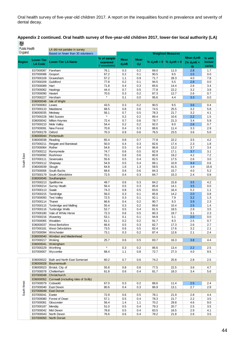|   | Appendix 2 continued. Oral health survey of five-year-old children 2017, lower-tier local authority (LA) |  |
|---|----------------------------------------------------------------------------------------------------------|--|
| 機 |                                                                                                          |  |

| <b>Public Health</b><br>England |                        | LA did not partake in survey<br>Based on fewer than 30 volunteers |                             |             | <b>Weighted Measures</b> |                                   |              |                                    |                   |
|---------------------------------|------------------------|-------------------------------------------------------------------|-----------------------------|-------------|--------------------------|-----------------------------------|--------------|------------------------------------|-------------------|
| Region                          | <b>Lower-Tier</b>      | <b>Lower-Tier LA Name</b>                                         | % of sample                 | <b>Mean</b> | <b>Mean</b>              | % $d_3$ mft = 0   % $d_3$ mft > 0 |              | Mean $d_3$ mft                     | % with<br>incisor |
|                                 | <b>LA Code</b>         |                                                                   | examined<br>(* unavailable) | $d_3$ mft   | $d_3t$                   |                                   |              | (% $d_3$ mft ><br>$\boldsymbol{0}$ | caries            |
|                                 | E07000087              | Fareham                                                           | 76.1                        | 0.3         | 0.2                      | 89.0                              | 11.0         | 2.8                                | 1.7               |
|                                 | E07000088              | Gosport                                                           | 67.2                        | 0.2         | 0.1                      | 90.5                              | 9.5          | 2.5                                | 0.0               |
|                                 | E07000109              | Gravesham                                                         | 57.2                        | 1.1         | 0.9                      | 71.7                              | 28.3         | 4.0                                | 7.8               |
|                                 | E07000209              | Guildford                                                         | 77.8                        | 0.2         | 0.1                      | 94.5                              | 5.5          | 2.8                                | 0.0               |
|                                 | E07000089              | Hart                                                              | 71.8                        | 0.4         | 0.3                      | 85.6                              | 14.4         | 2.6                                | 3.4               |
|                                 | E07000062              | Hastings                                                          | 44.4                        | 0.7         | 0.5                      | 77.8                              | 22.2         | 3.2                                | 3.9               |
|                                 | E07000090<br>E07000227 | Havant<br>Horsham                                                 | 70.5<br>$\star$             | 0.3<br>0.1  | 0.2<br>0.0               | 87.3<br>95.6                      | 12.7<br>4.4  | 2.6<br>3.3                         | 0.7<br>0.0        |
|                                 |                        | E06000046 Isle of Wight                                           |                             |             |                          |                                   |              |                                    |                   |
|                                 | E07000063              | Lewes                                                             | 43.5                        | 0.3         | 0.2                      | 90.5                              | 9.5          | 3.6                                | 0.4               |
|                                 | E07000110   Maidstone  |                                                                   | 68.5                        | 0.8         | 0.6                      | 74.5                              | 25.5         | 3.2                                | 5.8               |
|                                 | E06000035              | Medway                                                            | 56.1                        | 0.7         | 0.5                      | 78.3                              | 21.7         | 3.2                                | 4.1               |
|                                 | E07000228              | Mid Sussex                                                        | $\star$                     | 0.2         | 0.2                      | 89.4                              | 10.6         | 2.2                                | 1.5               |
|                                 | E07000210              | E06000042 Milton Keynes<br>Mole Valley                            | 72.4<br>54.4                | 0.7<br>0.2  | 0.6<br>0.2               | 78.7<br>92.0                      | 21.3<br>8.0  | 3.4<br>2.6                         | 5.9<br>0.7        |
|                                 | E07000091              | New Forest                                                        | 70.8                        | 0.4         | 0.3                      | 88.6                              | 11.4         | 3.3                                | 2.9               |
|                                 | E07000178              | Oxford                                                            | 70.3                        | 0.9         | 0.6                      | 76.5                              | 23.5         | 3.6                                | 5.0               |
|                                 | E06000044              | Portsmouth                                                        |                             |             |                          |                                   |              |                                    |                   |
|                                 | E06000038              | Reading                                                           | 65.4                        | 0.8         | 0.7                      | 77.8                              | 22.2         | 3.5                                | 4.2               |
|                                 | E07000211              | Reigate and Banstead                                              | 50.0                        | 0.4         | 0.3                      | 82.6                              | 17.4         | 2.3                                | 1.8               |
|                                 | E07000064<br>E07000212 | Rother<br>Runnymede                                               | 54.6<br>74.7                | 0.5<br>0.6  | 0.4<br>0.5               | 86.8<br>82.9                      | 13.2<br>17.1 | 3.7<br>3.7                         | 3.4<br>3.1        |
|                                 | E07000092              | Rushmoor                                                          | 70.1                        | 0.8         | 0.6                      | 80.8                              | 19.2         | 4.2                                | 7.2               |
| South East                      | E07000111              | Sevenoaks                                                         | 55.6                        | 0.5         | 0.4                      | 82.5                              | 17.5         | 2.6                                | 3.0               |
|                                 | E07000112   Shepway    |                                                                   | 54.9                        | 0.5         | 0.4                      | 89.1                              | 10.9         | 4.4                                | 0.6               |
|                                 | E06000039              | Slough                                                            | 64.8                        | 1.6         | 1.3                      | 58.5                              | 41.5         | 3.9                                | 15.6              |
|                                 | E07000006              | South Bucks                                                       | 68.6                        | 0.6         | 0.6                      | 84.3                              | 15.7         | 4.0                                | 5.2               |
|                                 |                        | E07000179 South Oxfordshire<br>E06000045 Southampton              | 72.5                        | 0.4         | 0.3                      | 84.7                              | 15.3         | 2.4                                | 0.8               |
|                                 | E07000213 Spelthorne   |                                                                   | 49.7                        | 0.6         | 0.3                      | 84.2                              | 15.8         | 3.5                                | 4.2               |
|                                 | E07000214              | Surrey Heath                                                      | 56.4                        | 0.5         | 0.3                      | 85.9                              | 14.1         | 3.5                                | 0.0               |
|                                 | E07000113              | Swale                                                             | 74.3                        | 0.8         | 0.5                      | 83.6                              | 16.4         | 5.2                                | 1.1               |
|                                 | E07000215              | Tandridge                                                         | 56.0                        | 0.3         | 0.1                      | 85.8                              | 14.2         | 2.0                                | 0.8               |
|                                 | E07000093              | <b>Test Valley</b>                                                | 72.5                        | 0.3         | 0.1                      | 92.1                              | 7.9          | 3.2                                | 1.3               |
|                                 | E07000114              | Thanet                                                            | 66.6                        | 0.4         | 0.2                      | 90.7                              | 9.3          | 3.9                                | 2.3               |
|                                 | E07000115<br>E07000116 | Tonbridge and Malling<br>Tunbridge Wells                          | 55.4<br>52.7                | 0.3<br>0.5  | 0.2<br>0.4               | 89.6<br>81.5                      | 10.4<br>18.5 | 2.5<br>2.9                         | 1.4<br>3.5        |
|                                 | E07000180              | Vale of White Horse                                               | 72.3                        | 0.6         | 0.5                      | 80.3                              | 19.7         | 3.1                                | 2.3               |
|                                 | E07000216              | Waverley                                                          | 53.1                        | 0.1         | 0.1                      | 94.9                              | 5.1          | 2.0                                | 0.0               |
|                                 | E07000065              | Wealden                                                           | 61.1                        | 0.2         | 0.2                      | 91.7                              | 8.3          | 2.5                                | 0.7               |
|                                 | E06000037              | <b>West Berkshire</b>                                             | 66.6                        | 0.5         | 0.3                      | 82.7                              | 17.3         | 2.6                                | 2.7               |
|                                 | E07000181              | West Oxfordshire                                                  | 73.5                        | 0.6         | 0.5                      | 82.4                              | 17.6         | 3.2                                | 2.1               |
|                                 |                        | E07000094 Winchester<br>E06000040 Windsor and Maidenhead          | 73.1                        | 0.3         | 0.2                      | 87.4                              | 12.6         | 2.1                                | 2.4               |
|                                 | E07000217 Woking       |                                                                   | 25.7                        | 0.6         | 0.5                      | 83.7                              | 16.3         | 3.8                                | 4.4               |
|                                 |                        | E06000041 Wokingham                                               |                             |             |                          |                                   |              |                                    |                   |
|                                 | E07000229 Worthing     |                                                                   | $\star$                     | 0.3         | 0.2                      | 86.6                              | 13.4         | 2.2                                | 2.5               |
|                                 | E07000007 Wycombe      |                                                                   | 68.4                        | 1.1         | 0.8                      | 72.7                              | 27.3         | 4.0                                | 9.5               |
|                                 |                        |                                                                   |                             |             |                          |                                   |              |                                    |                   |
|                                 |                        | E06000022   Bath and North East Somerset<br>E06000028 Bournemouth | 60.2                        | 0.7         | 0.6                      | 74.2                              | 25.8         | 2.8                                | 2.5               |
|                                 |                        | E06000023   Bristol, City of                                      | 55.8                        | 0.8         | 0.6                      | 77.5                              | 22.5         | 3.6                                | 4.7               |
|                                 |                        | E07000078 Cheltenham                                              | 61.8                        | 0.6         | 0.4                      | 81.7                              | 18.3         | 3.4                                | 5.6               |
|                                 |                        | E07000048 Christchurch                                            |                             |             |                          |                                   |              |                                    |                   |
|                                 |                        | E06000052 Cornwall (including Isles of Scilly)                    |                             |             |                          |                                   |              |                                    |                   |
| South West                      | E07000079 Cotswold     |                                                                   | 67.0                        | 0.3         | 0.2                      | 88.6                              | 11.4         | 2.5                                | 2.4               |
|                                 | E07000040 East Devon   |                                                                   | 80.6                        | 0.4         | 0.3                      | 86.9                              | 13.1         | 2.7                                | 2.9               |
|                                 | E07000041              | E07000049 East Dorset<br>Exeter                                   | 72.9                        | 0.6         | 0.5                      | 78.1                              | 21.9         | 2.8                                | 4.4               |
|                                 |                        | E07000080 Forest of Dean                                          | 57.1                        | 0.5         | 0.4                      | 78.3                              | 21.7         | 2.2                                | 3.5               |
|                                 | E07000081              | Gloucester                                                        | 56.4                        | 1.4         | 1.1                      | 70.2                              | 29.8         | 4.6                                | 9.0               |
|                                 | E07000187   Mendip     |                                                                   | 51.0                        | 0.5         | 0.4                      | 79.3                              | 20.7         | 2.5                                | 3.5               |
|                                 | E07000042   Mid Devon  |                                                                   | 78.8                        | 0.5         | 0.4                      | 83.5                              | 16.5         | 2.9                                | 4.1               |
|                                 |                        | E07000043 North Devon                                             | 76.6                        | 0.6         | 0.4                      | 78.2                              | 21.8         | 2.6                                | 3.5               |
|                                 |                        | E07000050 North Dorset                                            |                             |             |                          |                                   |              |                                    |                   |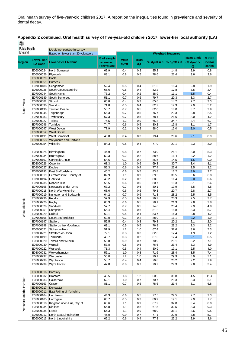| Appendix 2 continued. Oral health survey of five-year-old children 2017, lower-tier local authority (LA) |
|----------------------------------------------------------------------------------------------------------|
| 機                                                                                                        |

| Public Health<br>England |                               | LA did not partake in survey               |                |             |             |                                 |                          |                         |            |  |  |
|--------------------------|-------------------------------|--------------------------------------------|----------------|-------------|-------------|---------------------------------|--------------------------|-------------------------|------------|--|--|
|                          |                               | Based on fewer than 30 volunteers          |                |             |             |                                 | <b>Weighted Measures</b> |                         |            |  |  |
|                          | <b>Lower-Tier</b>             |                                            | % of sample    | <b>Mean</b> | <b>Mean</b> |                                 |                          | Mean d <sub>3</sub> mft | % with     |  |  |
| <b>Region</b>            | <b>LA Code</b>                | <b>Lower-Tier LA Name</b>                  | examined       | $d_3$ mft   | $d_3t$      | % $d_3$ mft = 0 % $d_3$ mft > 0 |                          | (% $d_3$ mft >          | incisor    |  |  |
| South West               |                               |                                            | * unavailable) |             |             |                                 |                          | $\boldsymbol{0}$        | caries     |  |  |
|                          | E06000024                     | North Somerset                             | 62.9           | 0.4         | 0.2         | 85.2                            | 14.8                     | 2.9                     | 0.8        |  |  |
|                          | E06000026<br>E06000029        | Plymouth<br>Poole                          | 88.1           | 0.8         | 0.5         | 78.6                            | 21.4                     | 3.6                     | 2.6        |  |  |
|                          | E07000051                     | <b>Purbeck</b>                             |                |             |             |                                 |                          |                         |            |  |  |
|                          | E07000188                     | Sedgemoor                                  | 52.4           | 0.5         | 0.4         | 81.6                            | 18.4                     | 2.8                     | 1.9        |  |  |
|                          | E06000025                     | South Gloucestershire                      | 66.6           | 0.6         | 0.4         | 82.2                            | 17.8                     | 3.5                     | 2.4        |  |  |
|                          | E07000044                     | South Hams                                 | 75.2           | 0.4         | 0.2         | 88.9                            | 11.1                     | 3.5                     | 0.4        |  |  |
|                          | E07000189                     | South Somerset                             | 51.1           | 0.7         | 0.6         | 79.7                            | 20.3                     | 3.3                     | 2.7        |  |  |
|                          | E07000082                     | Stroud                                     | 65.8           | 0.4         | 0.3         | 85.8                            | 14.2                     | 2.7                     | 3.3        |  |  |
|                          | E06000030                     | Swindon                                    | 71.8<br>50.7   | 0.5         | 0.4         | 82.7<br>82.0                    | 17.3<br>18.0             | 2.9                     | 5.2<br>2.9 |  |  |
|                          | E07000190<br>E07000045        | <b>Taunton Deane</b><br>Teignbridge        | 66.3           | 0.7<br>0.7  | 0.5<br>0.5  | 76.7                            | 23.3                     | 3.7<br>2.8              | 2.5        |  |  |
|                          | E07000083                     | Tewkesbury                                 | 67.3           | 0.7         | 0.5         | 78.4                            | 21.6                     | 3.0                     | 4.2        |  |  |
|                          | E06000027                     | Torbay                                     | 75.5           | 1.2         | 0.9         | 65.3                            | 34.7                     | 3.4                     | 6.7        |  |  |
|                          | E07000046                     | Torridge                                   | 74.7           | 0.6         | 0.5         | 80.2                            | 19.8                     | 3.1                     | 1.7        |  |  |
|                          | E07000047                     | <b>West Devon</b>                          | 77.9           | 0.2         | 0.2         | 88.0                            | 12.0                     | 2.0                     | 0.5        |  |  |
|                          |                               | E07000052 West Dorset                      |                |             |             |                                 |                          |                         |            |  |  |
|                          | E07000191                     | <b>West Somerset</b>                       | 45.8           | 0.4         | 0.3         | 79.4                            | 20.6                     | 2.1                     | 0.9        |  |  |
|                          | E06000054 Wiltshire           | E07000053 Weymouth and Portland            | 84.3           |             | 0.4         | 77.9                            | 22.1                     | 2.3                     | 3.0        |  |  |
|                          |                               |                                            |                | 0.5         |             |                                 |                          |                         |            |  |  |
|                          | E08000025                     | Birmingham                                 | 44.9           | 0.8         | 0.7         | 73.9                            | 26.1                     | 3.0                     | 5.3        |  |  |
|                          | E07000234                     | Bromsgrove                                 | 59.3           | 0.2         | 0.2         | 88.6                            | 11.4                     | 2.2                     | 1.2        |  |  |
|                          | E07000192                     | <b>Cannock Chase</b>                       | 54.6           | 0.2         | 0.2         | 85.5                            | 14.5                     | 1.5                     | 0.0        |  |  |
|                          | E08000026                     | Coventry                                   | 68.3           | 1.0         | 0.9         | 69.3                            | 30.7                     | 3.4                     | 8.1        |  |  |
|                          | E08000027                     | Dudley                                     | 55.3           | 0.6         | 0.4         | 77.4                            | 22.6                     | 2.5                     | 3.2        |  |  |
|                          | E07000193                     | East Staffordshire                         | 40.2           | 0.6         | 0.5         | 83.8                            | 16.2                     | 3.9                     | 3.7        |  |  |
|                          | E06000019                     | Herefordshire, County of                   | 82.9           | 1.1         | 0.9         | 69.5                            | 30.5                     | 3.6                     | 6.8        |  |  |
|                          | E07000194<br>E07000235        | Lichfield<br><b>Malvern Hills</b>          | 49.2<br>55.5   | 0.2<br>0.6  | 0.2<br>0.5  | 88.6<br>80.7                    | 11.4<br>19.3             | 2.0<br>3.1              | 0.6<br>2.4 |  |  |
|                          | E07000195                     | Newcastle-under-Lyme                       | 67.2           | 0.7         | 0.6         | 80.1                            | 19.9                     | 3.5                     | 4.5        |  |  |
|                          | E07000218                     | North Warwickshire                         | 68.6           | 0.6         | 0.5         | 79.3                            | 20.7                     | 2.8                     | 2.7        |  |  |
|                          | E07000219                     | Nuneaton and Bedworth                      | 64.2           | 0.7         | 0.6         | 71.8                            | 28.2                     | 2.5                     | 3.5        |  |  |
|                          | E07000236                     | Redditch                                   | 57.9           | 0.5         | 0.4         | 79.7                            | 20.3                     | 2.5                     | 3.7        |  |  |
|                          | E07000220                     | Rugby                                      | 66.3           | 0.6         | 0.5         | 78.1                            | 21.9                     | 2.8                     | 2.8        |  |  |
| West Midlands            | E08000028                     | Sandwell                                   | 57.7           | 0.7         | 0.5         | 74.6                            | 25.4                     | 2.9                     | 4.8        |  |  |
|                          | E06000051<br>E08000029        | Shropshire<br>Solihull                     | 55.4<br>62.1   | 0.6         | 0.6<br>0.4  | 81.2<br>83.7                    | 18.8<br>16.3             | 3.3<br>2.8              | 5.7<br>4.2 |  |  |
|                          | E07000196                     | South Staffordshire                        | 60.0           | 0.5<br>0.2  | 0.2         | 88.9                            | 11.1                     | 2.2                     | 1.9        |  |  |
|                          | E07000197                     | Stafford                                   | 56.5           | 0.4         | 0.3         | 79.8                            | 20.2                     | 2.1                     | 2.0        |  |  |
|                          | E07000198                     | Staffordshire Moorlands                    | 63.1           | 0.5         | 0.5         | 76.8                            | 23.2                     | 2.3                     | 3.2        |  |  |
|                          | E06000021                     | Stoke-on-Trent                             | 51.9           | $1.2$       | 1.0         | 67.4                            | 32.6                     | 3.6                     | 7.3        |  |  |
|                          | E07000221                     | Stratford-on-Avon                          | 72.1           | 0.3         | 0.3         | 82.6                            | 17.4                     | 1.9                     | 1.2        |  |  |
|                          | E07000199                     | Tamworth                                   | 43.7           | 0.3         | 0.2         | 87.6                            | 12.4                     | 2.1                     | 0.5        |  |  |
|                          | E06000020                     | <b>Telford and Wrekin</b>                  | 58.8           | 0.9         | 0.7         | 70.9                            | 29.1                     | 3.2                     | 7.1        |  |  |
|                          | E08000030<br>E07000222        | Walsall<br>Warwick                         | 57.8<br>71.3   | 0.8<br>0.5  | 0.6<br>0.4  | 76.6<br>80.9                    | 23.4<br>19.1             | 3.3<br>2.5              | 4.9<br>4.0 |  |  |
|                          | E08000031                     | Wolverhampton                              | 56.1           | 1.0         | 0.8         | 71.6                            | 28.4                     | 3.5                     | 7.4        |  |  |
|                          | E07000237                     | Worcester                                  | 56.0           | $1.2$       | 1.0         | 70.1                            | 29.9                     | 3.9                     | 7.1        |  |  |
|                          | E07000238                     | Wychavon                                   | 58.7           | 0.4         | 0.4         | 79.8                            | 20.2                     | $2.2\,$                 | 1.9        |  |  |
|                          | E07000239                     | <b>Wyre Forest</b>                         | 47.8           | 0.8         | 0.7         | 70.7                            | 29.3                     | 2.8                     | 3.4        |  |  |
|                          |                               |                                            |                |             |             |                                 |                          |                         |            |  |  |
| Yorkshire and the Humber | E08000016                     | Barnsley                                   |                |             |             |                                 |                          |                         |            |  |  |
|                          | E08000032   Bradford          |                                            | 49.5           | 1.8         | 1.2         | 60.2                            | 39.8                     | 4.5                     | 11.4       |  |  |
|                          | E08000033<br>E07000163 Craven | Calderdale                                 | 62.1<br>81.1   | 1.0<br>0.7  | 0.7<br>0.5  | 70.7<br>78.6                    | 29.3<br>21.4             | 3.3<br>3.1              | 5.1<br>6.8 |  |  |
|                          | E08000017                     | Doncaster                                  |                |             |             |                                 |                          |                         |            |  |  |
|                          | E06000011                     | East Riding of Yorkshire                   |                |             |             |                                 |                          |                         |            |  |  |
|                          | E07000164                     | Hambleton                                  | 44.3           | 0.6         | 0.5         | 77.5                            | 22.5                     | 2.7                     | 2.3        |  |  |
|                          | E07000165                     | Harrogate                                  | 66.7           | 0.5         | 0.3         | 80.9                            | 19.1                     | 2.9                     | 1.7        |  |  |
|                          | E06000010                     | Kingston upon Hull, City of                | 60.6           | 1.1         | 0.9         | 67.2                            | 32.8                     | 3.4                     | 8.0        |  |  |
|                          | E08000034                     | Kirklees                                   | 64.8           | 1.1         | 0.8         | 67.5                            | 32.5                     | 3.3                     | 9.3        |  |  |
|                          | E08000035                     | Leeds<br>E06000012 North East Lincolnshire | 56.3<br>46.0   | 1.1<br>0.9  | 0.9<br>0.7  | 68.9<br>77.1                    | 31.1<br>22.9             | 3.6<br>3.8              | 9.5<br>5.7 |  |  |
|                          |                               | E06000013 North Lincolnshire               | 65.2           | 0.6         | 0.4         | 77.8                            | 22.2                     | 2.9                     | $3.6\,$    |  |  |
|                          |                               |                                            |                |             |             |                                 |                          |                         |            |  |  |